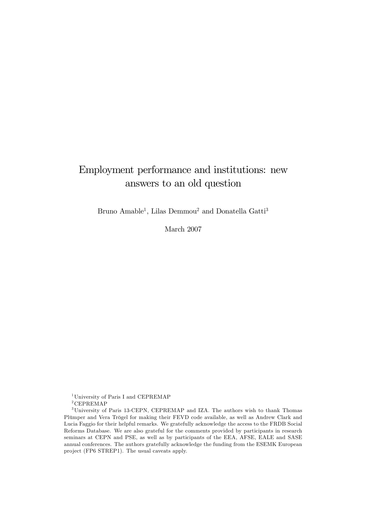# Employment performance and institutions: new answers to an old question

Bruno Amable<sup>1</sup>, Lilas Demmou<sup>2</sup> and Donatella Gatti<sup>3</sup>

March 2007

<sup>1</sup>University of Paris I and CEPREMAP

 $2$ CEPREMAP

<sup>3</sup>University of Paris 13-CEPN, CEPREMAP and IZA. The authors wish to thank Thomas Plümper and Vera Trögel for making their FEVD code available, as well as Andrew Clark and Lucia Faggio for their helpful remarks. We gratefully acknowledge the access to the FRDB Social Reforms Database. We are also grateful for the comments provided by participants in research seminars at CEPN and PSE, as well as by participants of the EEA, AFSE, EALE and SASE annual conferences. The authors gratefully acknowledge the funding from the ESEMK European project (FP6 STREP1). The usual caveats apply.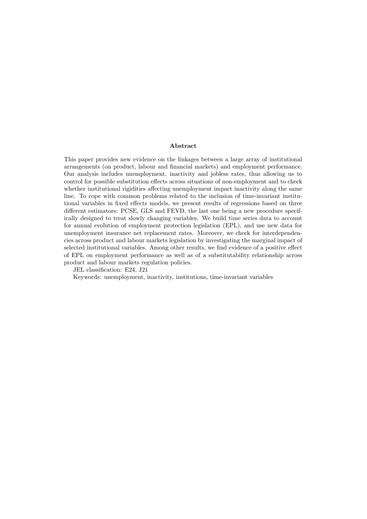#### Abstract

This paper provides new evidence on the linkages between a large array of institutional arrangements (on product, labour and Önancial markets) and employment performance. Our analysis includes unemployment, inactivity and jobless rates, thus allowing us to control for possible substitution effects across situations of non-employment and to check whether institutional rigidities affecting unemployment impact inactivity along the same line. To cope with common problems related to the inclusion of time-invariant institutional variables in fixed effects models, we present results of regressions based on three different estimators: PCSE, GLS and FEVD, the last one being a new procedure specifically designed to treat slowly changing variables. We build time series data to account for annual evolution of employment protection legislation (EPL), and use new data for unemployment insurance net replacement rates. Moreover, we check for interdependencies across product and labour markets legislation by investigating the marginal impact of selected institutional variables. Among other results, we find evidence of a positive effect of EPL on employment performance as well as of a substitutability relationship across product and labour markets regulation policies.

JEL classification: E24, J21

Keywords: unemployment, inactivity, institutions, time-invariant variables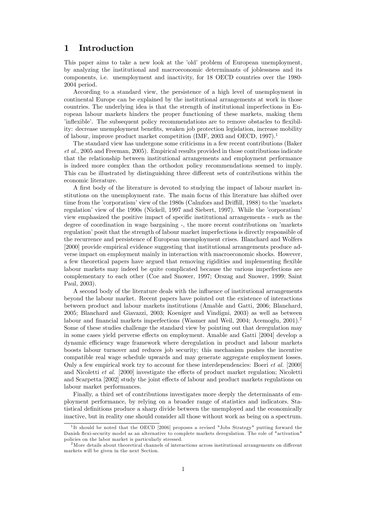### 1 Introduction

This paper aims to take a new look at the 'old' problem of European unemployment, by analyzing the institutional and macroeconomic determinants of joblessness and its components, i.e. unemployment and inactivity, for 18 OECD countries over the 1980- 2004 period.

According to a standard view, the persistence of a high level of unemployment in continental Europe can be explained by the institutional arrangements at work in those countries. The underlying idea is that the strength of institutional imperfections in European labour markets hinders the proper functioning of these markets, making them inflexible. The subsequent policy recommendations are to remove obstacles to flexibility: decrease unemployment benefits, weaken job protection legislation, increase mobility of labour, improve product market competition (IMF, 2003 and OECD, 1997).<sup>1</sup>

The standard view has undergone some criticisms in a few recent contributions (Baker et al., 2005 and Freeman, 2005). Empirical results provided in those contributions indicate that the relationship between institutional arrangements and employment performance is indeed more complex than the orthodox policy recommendations seemed to imply. This can be illustrated by distinguishing three different sets of contributions within the economic literature.

A first body of the literature is devoted to studying the impact of labour market institutions on the unemployment rate. The main focus of this literature has shifted over time from the 'corporatism' view of the 1980s (Calmfors and Driffill, 1988) to the 'markets regulation' view of the 1990s (Nickell, 1997 and Siebert, 1997). While the 'corporatism' view emphasized the positive impact of specific institutional arrangements - such as the degree of coordination in wage bargaining -, the more recent contributions on 'markets regulation' posit that the strength of labour market imperfections is directly responsible of the recurrence and persistence of European unemployment crises. Blanchard and Wolfers [2000] provide empirical evidence suggesting that institutional arrangements produce adverse impact on employment mainly in interaction with macroeconomic shocks. However, a few theoretical papers have argued that removing rigidities and implementing flexible labour markets may indeed be quite complicated because the various imperfections are complementary to each other (Coe and Snower, 1997; Orszag and Snower, 1999; Saint Paul, 2003).

A second body of the literature deals with the influence of institutional arrangements beyond the labour market. Recent papers have pointed out the existence of interactions between product and labour markets institutions (Amable and Gatti, 2006; Blanchard, 2005; Blanchard and Giavazzi, 2003; Koeniger and Vindigni, 2003) as well as between labour and financial markets imperfections (Wasmer and Weil, 2004; Acemoglu, 2001).<sup>2</sup> Some of these studies challenge the standard view by pointing out that deregulation may in some cases yield perverse effects on employment. Amable and Gatti [2004] develop a dynamic efficiency wage framework where deregulation in product and labour markets boosts labour turnover and reduces job security; this mechanism pushes the incentive compatible real wage schedule upwards and may generate aggregate employment losses. Only a few empirical work try to account for these interdependencies: Boeri et al. [2000] and Nicoletti et al.  $[2000]$  investigate the effects of product market regulation; Nicoletti and Scarpetta [2002] study the joint effects of labour and product markets regulations on labour market performances.

Finally, a third set of contributions investigates more deeply the determinants of employment performance, by relying on a broader range of statistics and indicators. Statistical definitions produce a sharp divide between the unemployed and the economically inactive, but in reality one should consider all those without work as being on a spectrum.

<sup>&</sup>lt;sup>1</sup>It should be noted that the OECD [2006] proposes a revised "Jobs Strategy" putting forward the Danish flexi-security model as an alternative to complete markets deregulation. The role of "activation" policies on the labor market is particularly stressed.

 $2$ More details about theoretical channels of interactions across institutional arrangements on different markets will be given in the next Section.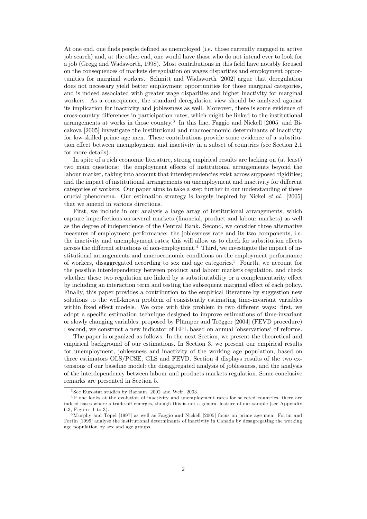At one end, one finds people defined as unemployed (i.e. those currently engaged in active job search) and, at the other end, one would have those who do not intend ever to look for a job (Gregg and Wadsworth, 1998). Most contributions in this Öeld have notably focused on the consequences of markets deregulation on wages disparities and employment opportunities for marginal workers. Schmitt and Wadsworth [2002] argue that deregulation does not necessary yield better employment opportunities for those marginal categories, and is indeed associated with greater wage disparities and higher inactivity for marginal workers. As a consequence, the standard deregulation view should be analyzed against its implication for inactivity and joblessness as well. Moreover, there is some evidence of cross-country differences in participation rates, which might be linked to the institutional arrangements at works in those country.<sup>3</sup> In this line, Faggio and Nickell [2005] and Bicakova [2005] investigate the institutional and macroeconomic determinants of inactivity for low-skilled prime age men. These contributions provide some evidence of a substitution effect between unemployment and inactivity in a subset of countries (see Section 2.1) for more details).

In spite of a rich economic literature, strong empirical results are lacking on (at least) two main questions: the employment effects of institutional arrangements beyond the labour market, taking into account that interdependencies exist across supposed rigidities; and the impact of institutional arrangements on unemployment and inactivity for different categories of workers. Our paper aims to take a step further in our understanding of these crucial phenomena. Our estimation strategy is largely inspired by Nickel et al. [2005] that we amend in various directions.

First, we include in our analysis a large array of institutional arrangements, which capture imperfections on several markets (Önancial, product and labour markets) as well as the degree of independence of the Central Bank. Second, we consider three alternative measures of employment performance: the joblessness rate and its two components, i.e. the inactivity and unemployment rates; this will allow us to check for substitution effects across the different situations of non-employment.<sup>4</sup> Third, we investigate the impact of institutional arrangements and macroeconomic conditions on the employment performance of workers, disaggregated according to sex and age categories.<sup>5</sup> Fourth, we account for the possible interdependency between product and labour markets regulation, and check whether these two regulation are linked by a substitutability or a complementarity effect by including an interaction term and testing the subsequent marginal effect of each policy. Finally, this paper provides a contribution to the empirical literature by suggestion new solutions to the well-known problem of consistently estimating time-invariant variables within fixed effect models. We cope with this problem in two different ways: first, we adopt a specific estimation technique designed to improve estimations of time-invariant or slowly changing variables, proposed by Plümper and Trögger [2004] (FEVD procedure) ; second, we construct a new indicator of EPL based on annual 'observations' of reforms.

The paper is organized as follows. In the next Section, we present the theoretical and empirical background of our estimations. In Section 3, we present our empirical results for unemployment, joblessness and inactivity of the working age population, based on three estimators OLS/PCSE, GLS and FEVD. Section 4 displays results of the two extensions of our baseline model: the disaggregated analysis of joblessness, and the analysis of the interdependency between labour and products markets regulation. Some conclusive remarks are presented in Section 5.

<sup>3</sup> See Eurostat studies by Barham, 2002 and Weir, 2003.

<sup>&</sup>lt;sup>4</sup>If one looks at the evolution of inactivity and unemployment rates for selected countries, there are indeed cases where a trade-off emerges, though this is not a general feature of our sample (see Appendix 6.3, Figures 1 to 3).

<sup>5</sup>Murphy and Topel [1997] as well as Faggio and Nickell [2005] focus on prime age men. Fortin and Fortin [1999] analyse the institutional determinants of inactivity in Canada by desagregating the working age population by sex and age groups.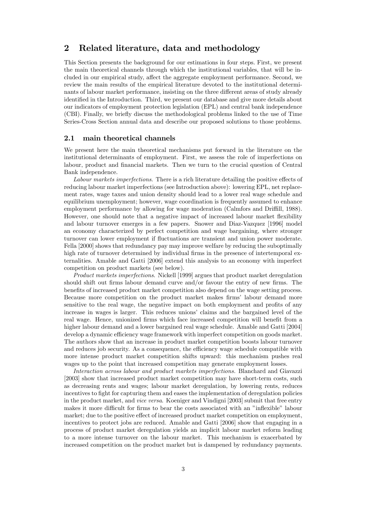### 2 Related literature, data and methodology

This Section presents the background for our estimations in four steps. First, we present the main theoretical channels through which the institutional variables, that will be included in our empirical study, affect the aggregate employment performance. Second, we review the main results of the empirical literature devoted to the institutional determinants of labour market performance, insisting on the three different areas of study already identified in the Introduction. Third, we present our database and give more details about our indicators of employment protection legislation (EPL) and central bank independence (CBI). Finally, we brieáy discuss the methodological problems linked to the use of Time Series-Cross Section annual data and describe our proposed solutions to those problems.

### 2.1 main theoretical channels

We present here the main theoretical mechanisms put forward in the literature on the institutional determinants of employment. First, we assess the role of imperfections on labour, product and financial markets. Then we turn to the crucial question of Central Bank independence.

Labour markets imperfections. There is a rich literature detailing the positive effects of reducing labour market imperfections (see Introduction above): lowering EPL, net replacement rates, wage taxes and union density should lead to a lower real wage schedule and equilibrium unemployment; however, wage coordination is frequently assumed to enhance employment performance by allowing for wage moderation (Calmfors and Driffill, 1988). However, one should note that a negative impact of increased labour market flexibility and labour turnover emerges in a few papers. Snower and Diaz-Vazquez [1996] model an economy characterized by perfect competition and wage bargaining, where stronger turnover can lower employment if fluctuations are transient and union power moderate. Fella  $[2000]$  shows that redundancy pay may improve welfare by reducing the suboptimally high rate of turnover determined by individual firms in the presence of intertemporal externalities. Amable and Gatti [2006] extend this analysis to an economy with imperfect competition on product markets (see below).

Product markets imperfections. Nickell [1999] argues that product market deregulation should shift out firms labour demand curve and/or favour the entry of new firms. The benefits of increased product market competition also depend on the wage setting process. Because more competition on the product market makes firms' labour demand more sensitive to the real wage, the negative impact on both employment and profits of any increase in wages is larger. This reduces unions' claims and the bargained level of the real wage. Hence, unionized firms which face increased competition will benefit from a higher labour demand and a lower bargained real wage schedule. Amable and Gatti [2004] develop a dynamic efficiency wage framework with imperfect competition on goods market. The authors show that an increase in product market competition boosts labour turnover and reduces job security. As a consequence, the efficiency wage schedule compatible with more intense product market competition shifts upward: this mechanism pushes real wages up to the point that increased competition may generate employment losses.

Interaction across labour and product markets imperfections. Blanchard and Giavazzi [2003] show that increased product market competition may have short-term costs, such as decreasing rents and wages; labour market deregulation, by lowering rents, reduces incentives to fight for capturing them and eases the implementation of deregulation policies in the product market, and vice versa. Koeniger and Vindigni [2003] submit that free entry makes it more difficult for firms to bear the costs associated with an "inflexible" labour market; due to the positive effect of increased product market competition on employment, incentives to protect jobs are reduced. Amable and Gatti [2006] show that engaging in a process of product market deregulation yields an implicit labour market reform leading to a more intense turnover on the labour market. This mechanism is exacerbated by increased competition on the product market but is dampened by redundancy payments.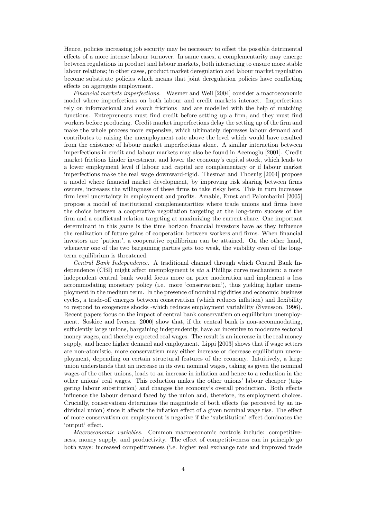Hence, policies increasing job security may be necessary to offset the possible detrimental effects of a more intense labour turnover. In same cases, a complementarity may emerge between regulations in product and labour markets, both interacting to ensure more stable labour relations; in other cases, product market deregulation and labour market regulation become substitute policies which means that joint deregulation policies have conflicting effects on aggregate employment.

Financial markets imperfections. Wasmer and Weil [2004] consider a macroeconomic model where imperfections on both labour and credit markets interact. Imperfections rely on informational and search frictions and are modelled with the help of matching functions. Entrepreneurs must find credit before setting up a firm, and they must find workers before producing. Credit market imperfections delay the setting up of the firm and make the whole process more expensive, which ultimately depresses labour demand and contributes to raising the unemployment rate above the level which would have resulted from the existence of labour market imperfections alone. A similar interaction between imperfections in credit and labour markets may also be found in Acemoglu [2001]. Credit market frictions hinder investment and lower the economy's capital stock, which leads to a lower employment level if labour and capital are complementary or if labour market imperfections make the real wage downward-rigid. Thesmar and Thoenig [2004] propose a model where financial market development, by improving risk sharing between firms owners, increases the willingness of these firms to take risky bets. This in turn increases firm level uncertainty in employment and profits. Amable, Ernst and Palombarini [2005] propose a model of institutional complementarities where trade unions and firms have the choice between a cooperative negotiation targeting at the long-term success of the firm and a conflictual relation targeting at maximizing the current share. One important determinant in this game is the time horizon financial investors have as they influence the realization of future gains of cooperation between workers and firms. When financial investors are 'patient', a cooperative equilibrium can be attained. On the other hand, whenever one of the two bargaining parties gets too weak, the viability even of the longterm equilibrium is threatened.

Central Bank Independence. A traditional channel through which Central Bank Independence (CBI) might affect unemployment is *via* a Phillips curve mechanism: a more independent central bank would focus more on price moderation and implement a less accommodating monetary policy (i.e. more 'conservatism'), thus yielding higher unemployment in the medium term. In the presence of nominal rigidities and economic business cycles, a trade-off emerges between conservatism (which reduces inflation) and flexibility to respond to exogenous shocks -which reduces employment variability (Svensson, 1996). Recent papers focus on the impact of central bank conservatism on equilibrium unemployment. Soskice and Iversen [2000] show that, if the central bank is non-accommodating, sufficiently large unions, bargaining independently, have an incentive to moderate sectoral money wages, and thereby expected real wages. The result is an increase in the real money supply, and hence higher demand and employment. Lippi [2003] shows that if wage setters are non-atomistic, more conservatism may either increase or decrease equilibrium unemployment, depending on certain structural features of the economy. Intuitively, a large union understands that an increase in its own nominal wages, taking as given the nominal wages of the other unions, leads to an increase in inflation and hence to a reduction in the other unions' real wages. This reduction makes the other unions' labour cheaper (triggering labour substitution) and changes the economy's overall production. Both effects influence the labour demand faced by the union and, therefore, its employment choices. Crucially, conservatism determines the magnitude of both effects (as perceived by an individual union) since it affects the inflation effect of a given nominal wage rise. The effect of more conservatism on employment is negative if the 'substitution' effect dominates the 'output' effect.

Macroeconomic variables. Common macroeconomic controls include: competitiveness, money supply, and productivity. The effect of competitiveness can in principle go both ways: increased competitiveness (i.e. higher real exchange rate and improved trade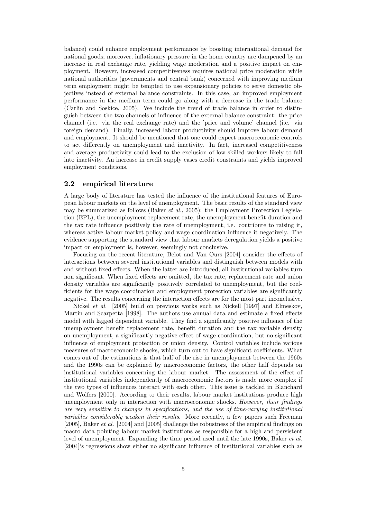balance) could enhance employment performance by boosting international demand for national goods; moreover, inflationary pressure in the home country are dampened by an increase in real exchange rate, yielding wage moderation and a positive impact on employment. However, increased competitiveness requires national price moderation while national authorities (governments and central bank) concerned with improving medium term employment might be tempted to use expansionary policies to serve domestic objectives instead of external balance constraints. In this case, an improved employment performance in the medium term could go along with a decrease in the trade balance (Carlin and Soskice, 2005). We include the trend of trade balance in order to distinguish between the two channels of ináuence of the external balance constraint: the price channel (i.e. via the real exchange rate) and the 'price and volume' channel (i.e. via foreign demand). Finally, increased labour productivity should improve labour demand and employment. It should be mentioned that one could expect macroeconomic controls to act differently on unemployment and inactivity. In fact, increased competitiveness and average productivity could lead to the exclusion of low skilled workers likely to fall into inactivity. An increase in credit supply eases credit constraints and yields improved employment conditions.

### 2.2 empirical literature

A large body of literature has tested the influence of the institutional features of European labour markets on the level of unemployment. The basic results of the standard view may be summarized as follows (Baker et al., 2005): the Employment Protection Legislation (EPL), the unemployment replacement rate, the unemployment benefit duration and the tax rate influence positively the rate of unemployment, i.e. contribute to raising it, whereas active labour market policy and wage coordination influence it negatively. The evidence supporting the standard view that labour markets deregulation yields a positive impact on employment is, however, seemingly not conclusive.

Focusing on the recent literature, Belot and Van Ours [2004] consider the effects of interactions between several institutional variables and distinguish between models with and without fixed effects. When the latter are introduced, all institutional variables turn non significant. When fixed effects are omitted, the tax rate, replacement rate and union density variables are significantly positively correlated to unemployment, but the coefficients for the wage coordination and employment protection variables are significantly negative. The results concerning the interaction effects are for the most part inconclusive.

Nickel et al. [2005] build on previous works such as Nickell [1997] and Elmeskov, Martin and Scarpetta [1998]. The authors use annual data and estimate a fixed effects model with lagged dependent variable. They find a significantly positive influence of the unemployment benefit replacement rate, benefit duration and the tax variable density on unemployment, a significantly negative effect of wage coordination, but no significant influence of employment protection or union density. Control variables include various measures of macroeconomic shocks, which turn out to have significant coefficients. What comes out of the estimations is that half of the rise in unemployment between the 1960s and the 1990s can be explained by macroeconomic factors, the other half depends on institutional variables concerning the labour market. The assessment of the effect of institutional variables independently of macroeconomic factors is made more complex if the two types of influences interact with each other. This issue is tackled in Blanchard and Wolfers [2000]. According to their results, labour market institutions produce high unemployment only in interaction with macroeconomic shocks. However, their findings are very sensitive to changes in specifications, and the use of time-varying institutional variables considerably weaken their results. More recently, a few papers such Freeman [2005], Baker *et al.* [2004] and [2005] challenge the robustness of the empirical findings on macro data pointing labour market institutions as responsible for a high and persistent level of unemployment. Expanding the time period used until the late 1990s, Baker et al. [2004]'s regressions show either no significant influence of institutional variables such as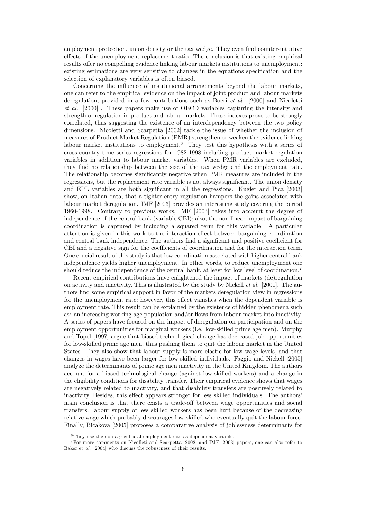employment protection, union density or the tax wedge. They even find counter-intuitive effects of the unemployment replacement ratio. The conclusion is that existing empirical results offer no compelling evidence linking labour markets institutions to unemployment: existing estimations are very sensitive to changes in the equations specification and the selection of explanatory variables is often biased.

Concerning the influence of institutional arrangements beyond the labour markets, one can refer to the empirical evidence on the impact of joint product and labour markets deregulation, provided in a few contributions such as Boeri et al. [2000] and Nicoletti et al. [2000] . These papers make use of OECD variables capturing the intensity and strength of regulation in product and labour markets. These indexes prove to be strongly correlated, thus suggesting the existence of an interdependency between the two policy dimensions. Nicoletti and Scarpetta [2002] tackle the issue of whether the inclusion of measures of Product Market Regulation (PMR) strengthen or weaken the evidence linking labour market institutions to employment.<sup>6</sup> They test this hypothesis with a series of cross-country time series regressions for 1982-1998 including product market regulation variables in addition to labour market variables. When PMR variables are excluded, they Önd no relationship between the size of the tax wedge and the employment rate. The relationship becomes significantly negative when PMR measures are included in the regressions, but the replacement rate variable is not always significant. The union density and EPL variables are both significant in all the regressions. Kugler and Pica [2003] show, on Italian data, that a tighter entry regulation hampers the gains associated with labour market deregulation. IMF [2003] provides an interesting study covering the period 1960-1998. Contrary to previous works, IMF [2003] takes into account the degree of independence of the central bank (variable CBI); also, the non linear impact of bargaining coordination is captured by including a squared term for this variable. A particular attention is given in this work to the interaction effect between bargaining coordination and central bank independence. The authors find a significant and positive coefficient for CBI and a negative sign for the coefficients of coordination and for the interaction term. One crucial result of this study is that low coordination associated with higher central bank independence yields higher unemployment. In other words, to reduce unemployment one should reduce the independence of the central bank, at least for low level of coordination.<sup>7</sup>

Recent empirical contributions have enlightened the impact of markets (de)regulation on activity and inactivity. This is illustrated by the study by Nickell *et al.* [2001]. The authors Önd some empirical support in favor of the markets deregulation view in regressions for the unemployment rate; however, this effect vanishes when the dependent variable is employment rate. This result can be explained by the existence of hidden phenomena such as: an increasing working age population and/or flows from labour market into inactivity. A series of papers have focused on the impact of deregulation on participation and on the employment opportunities for marginal workers (i.e. low-skilled prime age men). Murphy and Topel [1997] argue that biased technological change has decreased job opportunities for low-skilled prime age men, thus pushing them to quit the labour market in the United States. They also show that labour supply is more elastic for low wage levels, and that changes in wages have been larger for low-skilled individuals. Faggio and Nickell [2005] analyze the determinants of prime age men inactivity in the United Kingdom. The authors account for a biased technological change (against low-skilled workers) and a change in the eligibility conditions for disability transfer. Their empirical evidence shows that wages are negatively related to inactivity, and that disability transfers are positively related to inactivity. Besides, this effect appears stronger for less skilled individuals. The authors' main conclusion is that there exists a trade-off between wage opportunities and social transfers: labour supply of less skilled workers has been hurt because of the decreasing relative wage which probably discourages low-skilled who eventually quit the labour force. Finally, Bicakova [2005] proposes a comparative analysis of joblessness determinants for

<sup>&</sup>lt;sup>6</sup>They use the non agricultural employment rate as dependent variable.

<sup>7</sup>For more comments on Nicolleti and Scarpetta [2002] and IMF [2003] papers, one can also refer to Baker et al. [2004] who discuss the robustness of their results.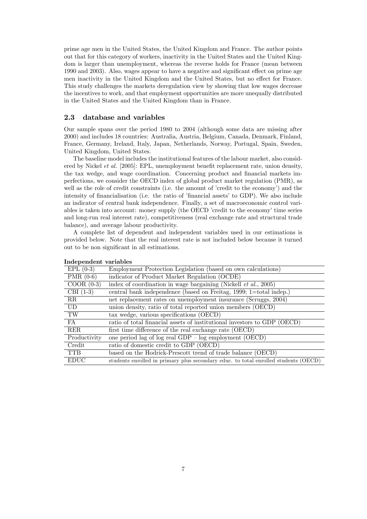prime age men in the United States, the United Kingdom and France. The author points out that for this category of workers, inactivity in the United States and the United Kingdom is larger than unemployment, whereas the reverse holds for France (mean between 1990 and 2003). Also, wages appear to have a negative and significant effect on prime age men inactivity in the United Kingdom and the United States, but no effect for France. This study challenges the markets deregulation view by showing that low wages decrease the incentives to work, and that employment opportunities are more unequally distributed in the United States and the United Kingdom than in France.

#### 2.3 database and variables

Our sample spans over the period 1980 to 2004 (although some data are missing after 2000) and includes 18 countries: Australia, Austria, Belgium, Canada, Denmark, Finland, France, Germany, Ireland, Italy, Japan, Netherlands, Norway, Portugal, Spain, Sweden, United Kingdom, United States.

The baseline model includes the institutional features of the labour market, also considered by Nickel *et al.* [2005]: EPL, unemployment benefit replacement rate, union density, the tax wedge, and wage coordination. Concerning product and financial markets imperfections, we consider the OECD index of global product market regulation (PMR), as well as the role of credit constraints (i.e. the amount of 'credit to the economy') and the intensity of financialisation (i.e. the ratio of 'financial assets' to GDP). We also include an indicator of central bank independence. Finally, a set of macroeconomic control variables is taken into account: money supply (the OECD 'credit to the economy' time series and long-run real interest rate), competitiveness (real exchange rate and structural trade balance), and average labour productivity.

A complete list of dependent and independent variables used in our estimations is provided below. Note that the real interest rate is not included below because it turned out to be non significant in all estimations.

| $EPL(0-3)$   | Employment Protection Legislation (based on own calculations)                       |
|--------------|-------------------------------------------------------------------------------------|
| PMR $(0-6)$  | indicator of Product Market Regulation (OCDE)                                       |
| $COOR(0-3)$  | index of coordination in wage bargaining (Nickell $et \ al., 2005$ )                |
| CBI $(1-3)$  | central bank independence (based on Freitag, 1999; 1=total indep.)                  |
| RR           | net replacement rates on unemployment insurance (Scruggs, 2004)                     |
| UD.          | union density, ratio of total reported union members (OECD)                         |
| TW           | tax wedge, various specifications (OECD)                                            |
| FA           | ratio of total financial assets of institutional investors to GDP (OECD)            |
| <b>RER</b>   | first time difference of the real exchange rate (OECD)                              |
| Productivity | one period lag of log real $GDP - log$ employment $(OECD)$                          |
| Credit       | ratio of domestic credit to GDP (OECD)                                              |
| <b>TTB</b>   | based on the Hodrick-Prescott trend of trade balance (OECD)                         |
| <b>EDUC</b>  | students enrolled in primary plus secondary educ. to total enrolled students (OECD) |

| Independent variables |  |
|-----------------------|--|
|                       |  |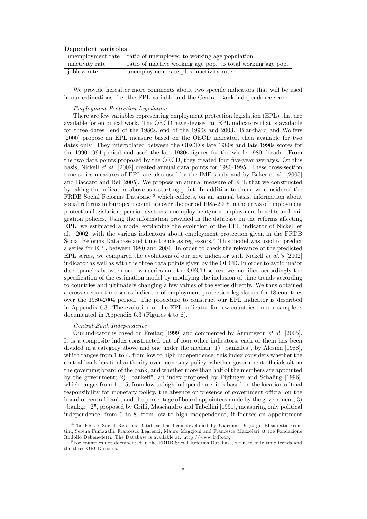| Dependent variables |  |
|---------------------|--|
|---------------------|--|

|                 | unemployment rate ratio of unemployed to working age population |
|-----------------|-----------------------------------------------------------------|
| inactivity rate | ratio of inactive working age pop. to total working age pop.    |
| jobless rate    | unemployment rate plus inactivity rate                          |

We provide hereafter more comments about two specific indicators that will be used in our estimations: i.e. the EPL variable and the Central Bank independence score.

#### Employment Protection Legislation

There are few variables representing employment protection legislation (EPL) that are available for empirical work. The OECD have devised an EPL indicators that is available for three dates: end of the 1980s, end of the 1990s and 2003. Blanchard and Wolfers [2000] propose an EPL measure based on the OECD indicator, then available for two dates only. They interpolated between the OECD's late 1980s and late 1990s scores for the 1990-1994 period and used the late 1980s figures for the whole 1980 decade. From the two data points proposed by the OECD, they created four five-year averages. On this basis, Nickell et al. [2002] created annual data points for 1980-1995. These cross-section time series measures of EPL are also used by the IMF study and by Baker et al. [2005] and Baccaro and Rei [2005]. We propose an annual measure of EPL that we constructed by taking the indicators above as a starting point. In addition to them, we considered the FRDB Social Reforms Database,<sup>8</sup> which collects, on an annual basis, information about social reforms in European countries over the period 1985-2005 in the areas of employment protection legislation, pension systems, unemployment/non-employment benefits and migration policies. Using the information provided in the database on the reforms affecting EPL, we estimated a model explaining the evolution of the EPL indicator of Nickell et al. [2002] with the various indicators about employment protection given in the FRDB Social Reforms Database and time trends as regressors.<sup>9</sup> This model was used to predict a series for EPL between 1980 and 2004. In order to check the relevance of the predicted EPL series, we compared the evolutions of our new indicator with Nickell *et al.* s [2002] indicator as well as with the three data points given by the OECD. In order to avoid major discrepancies between our own series and the OECD scores, we modified accordingly the specification of the estimation model by modifying the inclusion of time trends according to countries and ultimately changing a few values of the series directly. We thus obtained a cross-section time series indicator of employment protection legislation for 18 countries over the 1980-2004 period. The procedure to construct our EPL indicator is described in Appendix 6.3. The evolution of the EPL indicator for few countries on our sample is documented in Appendix 6.3 (Figures 4 to 6).

#### Central Bank Independence

Our indicator is based on Freitag [1999] and commented by Armingeon et al. [2005]. It is a composite index constructed out of four other indicators, each of them has been divided in a category above and one under the median: 1) "bankales", by Alesina [1988], which ranges from 1 to 4, from low to high independence; this index considers whether the central bank has final authority over monetary policy, whether government officials sit on the governing board of the bank, and whether more than half of the members are appointed by the government; 2) "bankeff", an index proposed by Eijffinger and Schaling [1996], which ranges from  $1$  to  $5$ , from low to high independence; it is based on the location of final responsibility for monetary policy, the absence or presence of government official on the board of central bank, and the percentage of board appointees made by the government; 3) "bankgr\_2", proposed by Grilli, Masciandro and Tabellini [1991], measuring only political independence, from 0 to 8, from low to high independence; it focuses on appointment

<sup>8</sup> The FRDB Social Reforms Database has been developed by Giacomo Degiorgi, Elisabetta Frontini, Serena Fumagalli, Francesco Legrenzi, Mauro Maggioni and Francesca Mazzolari at the Fondazione Rodolfo Debenedetti. The Database is available at: http://www.frdb.org

<sup>9</sup>For countries not documented in the FRDB Social Reforms Database, we used only time trends and the three OECD scores.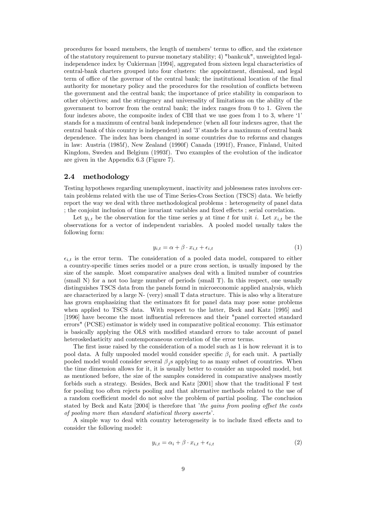procedures for board members, the length of members' terms to office, and the existence of the statutory requirement to pursue monetary stability; 4) "bankcuk", unweighted legalindependence index by Cukierman [1994], aggregated from sixteen legal characteristics of central-bank charters grouped into four clusters: the appointment, dismissal, and legal term of office of the governor of the central bank; the institutional location of the final authority for monetary policy and the procedures for the resolution of conflicts between the government and the central bank; the importance of price stability in comparison to other objectives; and the stringency and universality of limitations on the ability of the government to borrow from the central bank; the index ranges from 0 to 1. Given the four indexes above, the composite index of CBI that we use goes from 1 to 3, where  $1'$ stands for a maximum of central bank independence (when all four indexes agree, that the central bank of this country is independent) and '3' stands for a maximum of central bank dependence. The index has been changed in some countries due to reforms and changes in law: Austria (1985f), New Zealand (1990f) Canada (1991f), France, Finland, United Kingdom, Sweden and Belgium (1993f). Two examples of the evolution of the indicator are given in the Appendix 6.3 (Figure 7).

### 2.4 methodology

Testing hypotheses regarding unemployment, inactivity and joblessness rates involves certain problems related with the use of Time Series-Cross Section (TSCS) data. We briefly report the way we deal with three methodological problems : heterogeneity of panel data ; the conjoint inclusion of time invariant variables and fixed effects; serial correlation.

Let  $y_{i,t}$  be the observation for the time series y at time t for unit i. Let  $x_{i,t}$  be the observations for a vector of independent variables. A pooled model usually takes the following form:

$$
y_{i,t} = \alpha + \beta \cdot x_{i,t} + \epsilon_{i,t} \tag{1}
$$

 $\epsilon_{i,t}$  is the error term. The consideration of a pooled data model, compared to either a country-specific times series model or a pure cross section, is usually imposed by the size of the sample. Most comparative analyses deal with a limited number of countries (small N) for a not too large number of periods (small T). In this respect, one usually distinguishes TSCS data from the panels found in microeconomic applied analysis, which are characterized by a large N- (very) small T data structure. This is also why a literature has grown emphasizing that the estimators fit for panel data may pose some problems when applied to TSCS data. With respect to the latter, Beck and Katz [1995] and [1996] have become the most influential references and their "panel corrected standard errors" (PCSE) estimator is widely used in comparative political economy. This estimator is basically applying the OLS with modified standard errors to take account of panel heteroskedasticity and contemporaneous correlation of the error terms.

The first issue raised by the consideration of a model such as 1 is how relevant it is to pool data. A fully unpooled model would consider specific  $\beta_i$  for each unit. A partially pooled model would consider several  $\beta_j$ s applying to as many subset of countries. When the time dimension allows for it, it is usually better to consider an unpooled model, but as mentioned before, the size of the samples considered in comparative analyses mostly forbids such a strategy. Besides, Beck and Katz [2001] show that the traditional F test for pooling too often rejects pooling and that alternative methods related to the use of a random coefficient model do not solve the problem of partial pooling. The conclusion stated by Beck and Katz  $[2004]$  is therefore that *the gains from pooling offset the costs* of pooling more than standard statistical theory asserts'.

A simple way to deal with country heterogeneity is to include fixed effects and to consider the following model:

$$
y_{i,t} = \alpha_i + \beta \cdot x_{i,t} + \epsilon_{i,t} \tag{2}
$$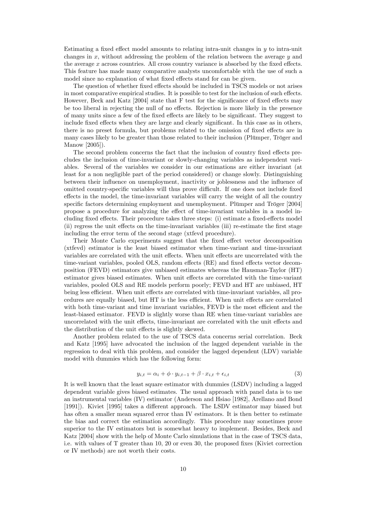Estimating a fixed effect model amounts to relating intra-unit changes in  $y$  to intra-unit changes in  $x$ , without addressing the problem of the relation between the average  $y$  and the average  $x$  across countries. All cross country variance is absorbed by the fixed effects. This feature has made many comparative analysts uncomfortable with the use of such a model since no explanation of what fixed effects stand for can be given.

The question of whether fixed effects should be included in TSCS models or not arises in most comparative empirical studies. It is possible to test for the inclusion of such effects. However, Beck and Katz  $[2004]$  state that F test for the significance of fixed effects may be too liberal in rejecting the null of no effects. Rejection is more likely in the presence of many units since a few of the fixed effects are likely to be significant. They suggest to include fixed effects when they are large and clearly significant. In this case as in others, there is no preset formula, but problems related to the omission of fixed effects are in many cases likely to be greater than those related to their inclusion (Plümper, Tröger and Manow [2005]).

The second problem concerns the fact that the inclusion of country fixed effects precludes the inclusion of time-invariant or slowly-changing variables as independent variables. Several of the variables we consider in our estimations are either invariant (at least for a non negligible part of the period considered) or change slowly. Distinguishing between their influence on unemployment, inactivity or joblessness and the influence of omitted country-specific variables will thus prove difficult. If one does not include fixed effects in the model, the time-invariant variables will carry the weight of all the country specific factors determining employment and unemployment. Plümper and Tröger [2004] propose a procedure for analyzing the effect of time-invariant variables in a model including fixed effects. Their procedure takes three steps: (i) estimate a fixed-effects model  $(iii)$  regress the unit effects on the time-invariant variables  $(iii)$  re-estimate the first stage including the error term of the second stage (xtfevd procedure).

Their Monte Carlo experiments suggest that the fixed effect vector decomposition (xtfevd) estimator is the least biased estimator when time-variant and time-invariant variables are correlated with the unit effects. When unit effects are uncorrelated with the time-variant variables, pooled OLS, random effects  $(RE)$  and fixed effects vector decomposition (FEVD) estimators give unbiased estimates whereas the Hausman-Taylor (HT) estimator gives biased estimates. When unit effects are correlated with the time-variant variables, pooled OLS and RE models perform poorly; FEVD and HT are unbiased, HT being less efficient. When unit effects are correlated with time-invariant variables, all procedures are equally biased, but HT is the less efficient. When unit effects are correlated with both time-variant and time invariant variables, FEVD is the most efficient and the least-biased estimator. FEVD is slightly worse than RE when time-variant variables are uncorrelated with the unit effects, time-invariant are correlated with the unit effects and the distribution of the unit effects is slightly skewed.

Another problem related to the use of TSCS data concerns serial correlation. Beck and Katz [1995] have advocated the inclusion of the lagged dependent variable in the regression to deal with this problem, and consider the lagged dependent (LDV) variable model with dummies which has the following form:

$$
y_{i,t} = \alpha_i + \phi \cdot y_{i,t-1} + \beta \cdot x_{i,t} + \epsilon_{i,t} \tag{3}
$$

It is well known that the least square estimator with dummies (LSDV) including a lagged dependent variable gives biased estimates. The usual approach with panel data is to use an instrumental variables (IV) estimator (Anderson and Hsiao [1982], Arellano and Bond [1991]). Kiviet [1995] takes a different approach. The LSDV estimator may biased but has often a smaller mean squared error than IV estimators. It is then better to estimate the bias and correct the estimation accordingly. This procedure may sometimes prove superior to the IV estimators but is somewhat heavy to implement. Besides, Beck and Katz [2004] show with the help of Monte Carlo simulations that in the case of TSCS data, i.e. with values of  $T$  greater than 10, 20 or even 30, the proposed fixes (Kiviet correction or IV methods) are not worth their costs.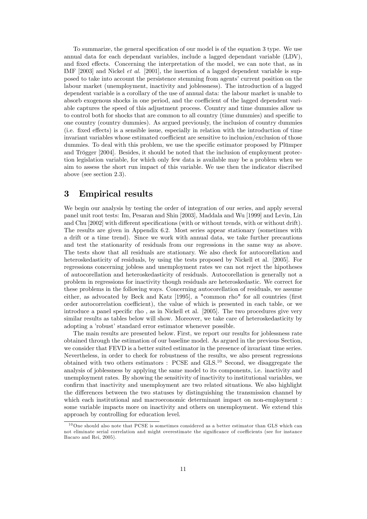To summarize, the general specification of our model is of the equation 3 type. We use annual data for each dependant variables, include a lagged dependant variable (LDV), and fixed effects. Concerning the interpretation of the model, we can note that, as in IMF [2003] and Nickel et al. [2001], the insertion of a lagged dependent variable is supposed to take into account the persistence stemming from agents' current position on the labour market (unemployment, inactivity and joblessness). The introduction of a lagged dependent variable is a corollary of the use of annual data: the labour market is unable to absorb exogenous shocks in one period, and the coefficient of the lagged dependent variable captures the speed of this adjustment process. Country and time dummies allow us to control both for shocks that are common to all country (time dummies) and specific to one country (country dummies). As argued previously, the inclusion of country dummies (i.e. fixed effects) is a sensible issue, especially in relation with the introduction of time invariant variables whose estimated coefficient are sensitive to inclusion/exclusion of those dummies. To deal with this problem, we use the specific estimator proposed by Plümper and Trögger [2004]. Besides, it should be noted that the inclusion of employment protection legislation variable, for which only few data is available may be a problem when we aim to assess the short run impact of this variable. We use then the indicator discribed above (see section 2.3).

### 3 Empirical results

We begin our analysis by testing the order of integration of our series, and apply several panel unit root tests: Im, Pesaran and Shin [2003], Maddala and Wu [1999] and Levin, Lin and Chu [2002] with different specifications (with or without trends, with or without drift). The results are given in Appendix 6.2. Most series appear stationary (sometimes with a drift or a time trend). Since we work with annual data, we take further precautions and test the stationarity of residuals from our regressions in the same way as above. The tests show that all residuals are stationary. We also check for autocorellation and heteroskedasticity of residuals, by using the tests proposed by Nickell et al. [2005]. For regressions concerning jobless and unemployment rates we can not reject the hipotheses of autocorellation and heteroskedasticity of residuals. Autocorellation is generally not a problem in regressions for inactivity though residuals are heteroskedastic. We correct for these problems in the following ways. Concerning autocorellation of residuals, we assume either, as advocated by Beck and Katz [1995], a "common rho" for all countries (first order autocorrelation coefficient), the value of which is presented in each table, or we introduce a panel specific rho, as in Nickell et al. [2005]. The two procedures give very similar results as tables below will show. Moreover, we take care of heteroskedasticity by adopting a 'robust' standard error estimator whenever possible.

The main results are presented below. First, we report our results for joblessness rate obtained through the estimation of our baseline model. As argued in the previous Section, we consider that FEVD is a better suited estimator in the presence of invariant time series. Nevertheless, in order to check for robustness of the results, we also present regressions obtained with two others estimators : PCSE and GLS.<sup>10</sup> Second, we disaggregate the analysis of joblessness by applying the same model to its components, i.e. inactivity and unemployment rates. By showing the sensitivity of inactivity to institutional variables, we confirm that inactivity and unemployment are two related situations. We also highlight the differences between the two statuses by distinguishing the transmission channel by which each institutional and macroeconomic determinant impact on non-employment : some variable impacts more on inactivity and others on unemployment. We extend this approach by controlling for education level.

 $10$  One should also note that PCSE is sometimes considered as a better estimator than GLS which can not eliminate serial correlation and might overestimate the significance of coefficients (see for instance Bacaro and Rei, 2005).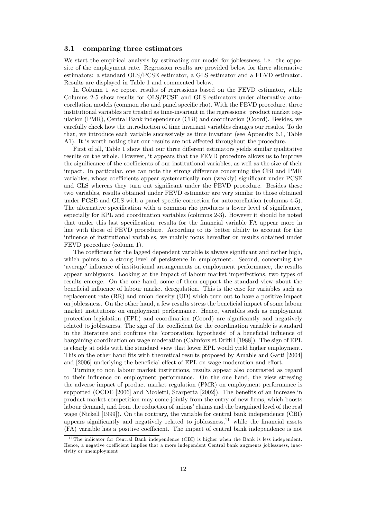### 3.1 comparing three estimators

We start the empirical analysis by estimating our model for joblessness, i.e. the opposite of the employment rate. Regression results are provided below for three alternative estimators: a standard OLS/PCSE estimator, a GLS estimator and a FEVD estimator. Results are displayed in Table 1 and commented below.

In Column 1 we report results of regressions based on the FEVD estimator, while Columns 2-5 show results for OLS/PCSE and GLS estimators under alternative autocorellation models (common rho and panel specific rho). With the FEVD procedure, three institutional variables are treated as time-invariant in the regressions: product market regulation (PMR), Central Bank independence (CBI) and coordination (Coord). Besides, we carefully check how the introduction of time invariant variables changes our results. To do that, we introduce each variable successively as time invariant (see Appendix 6.1, Table A1). It is worth noting that our results are not affected throughout the procedure.

First of all, Table 1 show that our three different estimators yields similar qualitative results on the whole. However, it appears that the FEVD procedure allows us to improve the significance of the coefficients of our institutional variables, as well as the size of their impact. In particular, one can note the strong difference concerning the CBI and PMR variables, whose coefficients appear systematically non (weakly) significant under PCSE and GLS whereas they turn out significant under the FEVD procedure. Besides these two variables, results obtained under FEVD estimator are very similar to those obtained under PCSE and GLS with a panel specific correction for autocorellation (columns 4-5). The alternative specification with a common rho produces a lower level of significance, especially for EPL and coordination variables (columns 2-3). However it should be noted that under this last specification, results for the financial variable FA appear more in line with those of FEVD procedure. According to its better ability to account for the influence of institutional variables, we mainly focus hereafter on results obtained under FEVD procedure (column 1).

The coefficient for the lagged dependent variable is always significant and rather high, which points to a strong level of persistence in employment. Second, concerning the 'average' influence of institutional arrangements on employment performance, the results appear ambiguous. Looking at the impact of labour market imperfections, two types of results emerge. On the one hand, some of them support the standard view about the beneficial influence of labour market deregulation. This is the case for variables such as replacement rate (RR) and union density (UD) which turn out to have a positive impact on joblessness. On the other hand, a few results stress the beneficial impact of some labour market institutions on employment performance. Hence, variables such as employment protection legislation  $(EPL)$  and coordination  $(Coord)$  are significantly and negatively related to joblessness. The sign of the coefficient for the coordination variable is standard in the literature and confirms the 'corporatism hypothesis' of a beneficial influence of bargaining coordination on wage moderation (Calmfors et Driffill [1988]). The sign of EPL is clearly at odds with the standard view that lower EPL would yield higher employment. This on the other hand fits with theoretical results proposed by Amable and Gatti [2004] and [2006] underlying the beneficial effect of EPL on wage moderation and effort.

Turning to non labour market institutions, results appear also contrasted as regard to their influence on employment performance. On the one hand, the view stressing the adverse impact of product market regulation (PMR) on employment performance is supported (OCDE  $[2006]$  and Nicoletti, Scarpetta  $[2002]$ ). The benefits of an increase in product market competition may come jointly from the entry of new firms, which boosts labour demand, and from the reduction of unions' claims and the bargained level of the real wage (Nickell [1999]). On the contrary, the variable for central bank independence (CBI) appears significantly and negatively related to joblessness,<sup>11</sup> while the financial assets (FA) variable has a positive coefficient. The impact of central bank independence is not

<sup>&</sup>lt;sup>11</sup> The indicator for Central Bank independence (CBI) is higher when the Bank is less independent. Hence, a negative coefficient implies that a more independent Central bank augments joblessness, inactivity or unemployment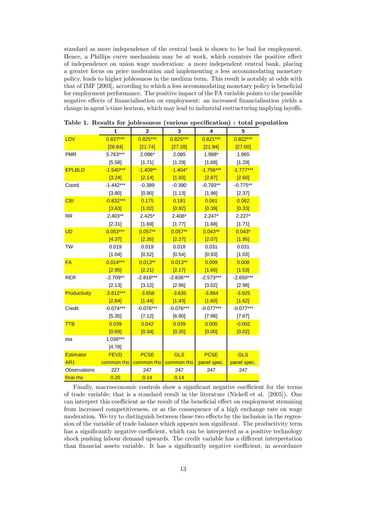standard as more independence of the central bank is shown to be bad for employment. Hence, a Phillips curve mechanism may be at work, which counters the positive effect of independence on union wage moderation: a more independent central bank, placing a greater focus on price moderation and implementing a less accommodating monetary policy, leads to higher joblessness in the medium term. This result is notably at odds with that of IMF [2003], according to which a less accommodating monetary policy is beneficial for employment performance. The positive impact of the FA variable points to the possible negative effects of financialisation on employment: an increased financialisation yields a change in agent's time horizon, which may lead to industrial restructuring implying layoffs.

|                  | 1           | $\overline{2}$ | 3           | 4           | 5           |
|------------------|-------------|----------------|-------------|-------------|-------------|
|                  |             |                |             |             |             |
| LDV              | $0.827***$  | $0.825***$     | $0.825***$  | $0.821***$  | $0.822***$  |
|                  | [26.84]     | [21.74]        | [27.28]     | [21.94]     | [27.00]     |
| <b>PMR</b>       | 5.763***    | 2.096*         | 2.085       | 1.988*      | 1.965       |
|                  | [5.58]      | [1.71]         | [1.29]      | [1.68]      | [1.29]      |
| <b>EPLBLD</b>    | $-1.540***$ | $-1.409**$     | $-1.404*$   | $-1.756***$ | $-1.777***$ |
|                  | [3.24]      | [2.14]         | [1.93]      | [2.87]      | [2.60]      |
| Coord            | $-1.442***$ | $-0.389$       | $-0.390$    | $-0.793**$  | $-0.775**$  |
|                  | [3.80]      | [0.90]         | [1.13]      | [1.98]      | [2.37]      |
| <b>CBI</b>       | $-0.832***$ | 0.175          | 0.181       | 0.061       | 0.062       |
|                  | [3.63]      | [1.02]         | [0.92]      | [0.39]      | [0.33]      |
| <b>RR</b>        | $2.403**$   | $2.425*$       | 2.406*      | $2.247*$    | $2.227*$    |
|                  | [2.31]      | [1.69]         | [1.77]      | [1.68]      | [1.71]      |
| UD               | $0.053***$  | $0.057**$      | $0.057**$   | $0.043**$   | $0.043*$    |
|                  | [4.37]      | [2.35]         | [2.27]      | [2.07]      | [1.95]      |
| <b>TW</b>        | 0.019       | 0.019          | 0.018       | 0.031       | 0.031       |
|                  | [1.04]      | [0.52]         | [0.54]      | [0.93]      | [1.03]      |
| <b>FA</b>        | $0.014***$  | $0.013***$     | $0.013***$  | 0.009       | 0.008       |
|                  | [2.95]      | [2.21]         | [2.17]      | [1.60]      | [1.53]      |
| <b>RER</b>       | $-2.709**$  | $-2.818***$    | $-2.836***$ | $-2.573***$ | $-2.650***$ |
|                  | [2.13]      | [3.12]         | [2.96]      | [3.02]      | [2.98]      |
| Productivity     | $-3.812***$ | $-3.658$       | $-3.635$    | $-3.864$    | $-3.925$    |
|                  | [2.84]      | [1.44]         | [1.43]      | [1.60]      | [1.62]      |
| Credit           | $-0.074***$ | $-0.076***$    | $-0.076***$ | $-0.077***$ | $-0.077***$ |
|                  | [5.35]      | [7.12]         | [6.90]      | [7.96]      | [7.67]      |
| <b>TTB</b>       | 0.039       | 0.042          | 0.039       | 0.000       | $-0.002$    |
|                  | [0.69]      | [0.34]         | [0.35]      | [0.00]      | [0.02]      |
| eta              | 1.036***    |                |             |             |             |
|                  | [4.78]      |                |             |             |             |
| <b>Estimator</b> | <b>FEVD</b> | <b>PCSE</b>    | <b>GLS</b>  | <b>PCSE</b> | <b>GLS</b>  |
| AR <sub>1</sub>  | common rho  | common rho     | common rho  | panel spec. | panel spec. |
| Observations     | 227         | 247            | 247         | 247         | 247         |
| final rho        | 0.20        | 0.14           | 0.14        |             |             |

Table 1. Results for joblessness (various specification) : total population

Finally, macroeconomic controls show a significant negative coefficient for the terms of trade variable; that is a standard result in the literature (Nickell et al. [2005]). One can interpret this coefficient as the result of the beneficial effect on employment stemming from increased competitiveness, or as the consequence of a high exchange rate on wage moderation. We try to distinguish between these two effects by the inclusion in the regression of the variable of trade balance which appears non significant. The productivity term has a significantly negative coefficient, which can be interpreted as a positive technology shock pushing labour demand upwards. The credit variable has a different interpretation than financial assets variable. It has a significantly negative coefficient, in accordance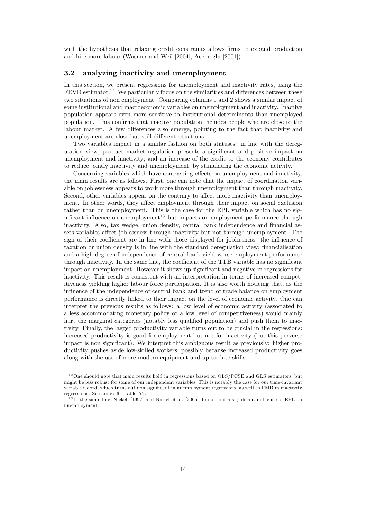with the hypothesis that relaxing credit constraints allows firms to expand production and hire more labour (Wasmer and Weil [2004], Acemoglu [2001]).

#### 3.2 analyzing inactivity and unemployment

In this section, we present regressions for unemployment and inactivity rates, using the  $FEVD$  estimator.<sup>12</sup> We particularly focus on the similarities and differences between these two situations of non employment. Comparing columns 1 and 2 shows a similar impact of some institutional and macroeconomic variables on unemployment and inactivity. Inactive population appears even more sensitive to institutional determinants than unemployed population. This confirms that inactive population includes people who are close to the labour market. A few differences also emerge, pointing to the fact that inactivity and unemployment are close but still different situations.

Two variables impact in a similar fashion on both statuses: in line with the deregulation view, product market regulation presents a significant and positive impact on unemployment and inactivity; and an increase of the credit to the economy contributes to reduce jointly inactivity and unemployment, by stimulating the economic activity.

Concerning variables which have contrasting effects on unemployment and inactivity, the main results are as follows. First, one can note that the impact of coordination variable on joblessness appears to work more through unemployment than through inactivity. Second, other variables appear on the contrary to affect more inactivity than unemployment. In other words, they affect employment through their impact on social exclusion rather than on unemployment. This is the case for the EPL variable which has no significant influence on unemployment<sup>13</sup> but impacts on employment performance through inactivity. Also, tax wedge, union density, central bank independence and financial assets variables affect joblessness through inactivity but not through unemployment. The sign of their coefficient are in line with those displayed for joblessness: the influence of taxation or union density is in line with the standard deregulation view; financialisation and a high degree of independence of central bank yield worse employment performance through inactivity. In the same line, the coefficient of the TTB variable has no significant impact on unemployment. However it shows up significant and negative in regressions for inactivity. This result is consistent with an interpretation in terms of increased competitiveness yielding higher labour force participation. It is also worth noticing that, as the influence of the independence of central bank and trend of trade balance on employment performance is directly linked to their impact on the level of economic activity. One can interpret the previous results as follows: a low level of economic activity (associated to a less accommodating monetary policy or a low level of competitiveness) would mainly hurt the marginal categories (notably less qualified population) and push them to inactivity. Finally, the lagged productivity variable turns out to be crucial in the regressions: increased productivity is good for employment but not for inactivity (but this perverse impact is non significant). We interpret this ambiguous result as previously: higher productivity pushes aside low-skilled workers, possibly because increased productivity goes along with the use of more modern equipment and up-to-date skills.

 $^{12}\mathrm{One}$  should note that main results hold in regressions based on OLS/PCSE and GLS estimators, but might be less robust for some of our independent variables. This is notably the case for our time-invariant variable Coord, which turns out non significant in unemployment regressions, as well as PMR in inactivity regressions. See annex 6.1 table A2.

 $^{13}$ In the same line, Nickell [1997] and Nickel et al. [2005] do not find a significant influence of EPL on unemployment.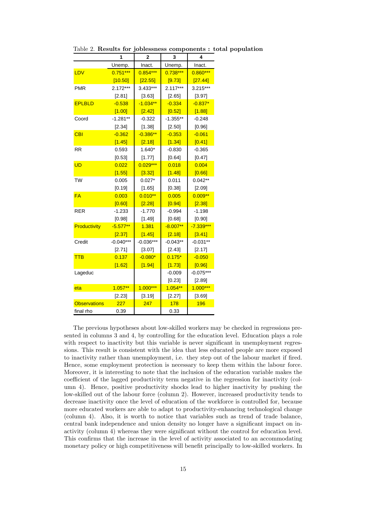|                     | 1           |             | 3          | 4           |
|---------------------|-------------|-------------|------------|-------------|
|                     | Unemp.      | Inact.      | Unemp.     | Inact.      |
| LDV                 | $0.751***$  | $0.854***$  | $0.738***$ | $0.860***$  |
|                     | [10.50]     | [22.55]     | [9.73]     | [27.44]     |
| <b>PMR</b>          | 2.172***    | 3.433***    | $2.117***$ | $3.215***$  |
|                     | [2.81]      | [3.63]      | [2.65]     | [3.97]      |
| <b>EPLBLD</b>       | $-0.538$    | $-1.034**$  | $-0.334$   | $-0.837*$   |
|                     | [1.00]      | [2.42]      | [0.52]     | [1.88]      |
| Coord               | $-1.281**$  | $-0.322$    | $-1.355**$ | $-0.248$    |
|                     | [2.34]      | [1.38]      | [2.50]     | [0.96]      |
| <b>CBI</b>          | $-0.362$    | $-0.386**$  | $-0.353$   | $-0.061$    |
|                     | [1.45]      | [2.18]      | [1.34]     | [0.41]      |
| <b>RR</b>           | 0.593       | 1.640*      | $-0.830$   | $-0.365$    |
|                     | [0.53]      | [1.77]      | [0.64]     | [0.47]      |
| <b>UD</b>           | 0.022       | $0.029***$  | 0.018      | 0.004       |
|                     | [1.55]      | [3.32]      | [1.48]     | [0.66]      |
| <b>TW</b>           | 0.005       | $0.027*$    | 0.011      | $0.042**$   |
|                     | [0.19]      | [1.65]      | [0.38]     | [2.09]      |
| <b>FA</b>           | 0.003       | $0.010**$   | 0.005      | $0.009**$   |
|                     | [0.60]      | [2.28]      | [0.94]     | [2.38]      |
| <b>RER</b>          | $-1.233$    | $-1.770$    | $-0.994$   | $-1.198$    |
|                     | [0.98]      | [1.49]      | [0.68]     | [0.90]      |
| Productivity        | $-5.577**$  | 1.381       | $-8.007**$ | $-7.339***$ |
|                     | [2.37]      | [1.45]      | [2.18]     | [3.41]      |
| Credit              | $-0.040***$ | $-0.036***$ | $-0.043**$ | $-0.031**$  |
|                     | [2.71]      | [3.07]      | [2.43]     | [2.17]      |
| <b>TTB</b>          | 0.137       | $-0.080*$   | $0.175*$   | $-0.050$    |
|                     | [1.62]      | [1.94]      | [1.73]     | [0.96]      |
| Lageduc             |             |             | $-0.009$   | $-0.075***$ |
|                     |             |             | [0.23]     | [2.89]      |
| eta                 | $1.057***$  | $1.000***$  | $1.054**$  | $1.000***$  |
|                     | [2.23]      | [3.19]      | [2.27]     | [3.69]      |
| <b>Observations</b> | 227         | 247         | 178        | 196         |
| final rho           | 0.39        |             | 0.33       |             |

Table 2. Results for joblessness components : total population

The previous hypotheses about low-skilled workers may be checked in regressions presented in columns 3 and 4, by controlling for the education level. Education plays a role with respect to inactivity but this variable is never significant in unemployment regressions. This result is consistent with the idea that less educated people are more exposed to inactivity rather than unemployment, i.e. they step out of the labour market if Öred. Hence, some employment protection is necessary to keep them within the labour force. Moreover, it is interesting to note that the inclusion of the education variable makes the coefficient of the lagged productivity term negative in the regression for inactivity (column 4). Hence, positive productivity shocks lead to higher inactivity by pushing the low-skilled out of the labour force (column 2). However, increased productivity tends to decrease inactivity once the level of education of the workforce is controlled for, because more educated workers are able to adapt to productivity-enhancing technological change (column 4). Also, it is worth to notice that variables such as trend of trade balance, central bank independence and union density no longer have a significant impact on inactivity (column 4) whereas they were significant without the control for education level. This confirms that the increase in the level of activity associated to an accommodating monetary policy or high competitiveness will benefit principally to low-skilled workers. In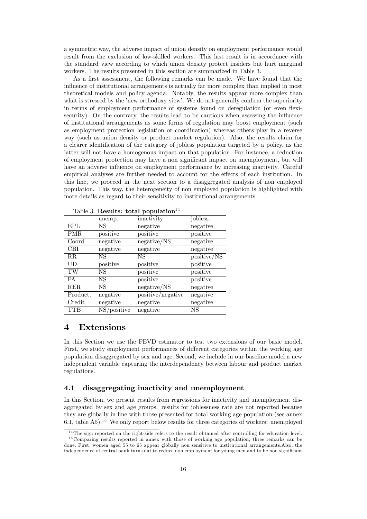a symmetric way, the adverse impact of union density on employment performance would result from the exclusion of low-skilled workers. This last result is in accordance with the standard view according to which union density protect insiders but hurt marginal workers. The results presented in this section are summarized in Table 3.

As a first assessment, the following remarks can be made. We have found that the influence of institutional arrangements is actually far more complex than implied in most theoretical models and policy agenda. Notably, the results appear more complex than what is stressed by the 'new orthodoxy view'. We do not generally confirm the superiority in terms of employment performance of systems found on deregulation (or even flexisecurity). On the contrary, the results lead to be cautious when assessing the influence of institutional arrangements as some forms of regulation may boost employment (such as employment protection legislation or coordination) whereas others play in a reverse way (such as union density or product market regulation). Also, the results claim for a clearer identiÖcation of the category of jobless population targeted by a policy, as the latter will not have a homogenous impact on that population. For instance, a reduction of employment protection may have a non significant impact on unemployment, but will have an adverse influence on employment performance by increasing inactivity. Careful empirical analyses are further needed to account for the effects of each institution. In this line, we proceed in the next section to a disaggregated analysis of non employed population. This way, the heterogeneity of non employed population is highlighted with more details as regard to their sensitivity to institutional arrangements.

|             |             | Table 5. Results: total population |             |
|-------------|-------------|------------------------------------|-------------|
|             | unemp.      | inactivity                         | jobless.    |
| EPL         | NS          | negative                           | negative    |
| <b>PMR</b>  | positive    | positive                           | positive    |
| Coord       | negative    | negative/NS                        | negative    |
| <b>CBI</b>  | negative    | negative                           | negative    |
| $_{\rm RR}$ | NS          | NS                                 | positive/NS |
| UD          | positive    | positive                           | positive    |
| TW          | NS          | positive                           | positive    |
| FA          | NS          | positive                           | positive    |
| RER         | NS          | negative/NS                        | negative    |
| Product.    | negative    | positive/negative                  | negative    |
| Credit      | negative    | negative                           | negative    |
| TTB         | NS/positive | negative                           | NS          |

 $T_2$ kle 3.  $R_2$ esults: total population $14$ 

### 4 Extensions

In this Section we use the FEVD estimator to test two extensions of our basic model. First, we study employment performances of different categories within the working age population disaggregated by sex and age. Second, we include in our baseline model a new independent variable capturing the interdependency between labour and product market regulations.

### 4.1 disaggregating inactivity and unemployment

In this Section, we present results from regressions for inactivity and unemployment disaggregated by sex and age groups. results for joblessness rate are not reported because they are globally in line with those presented for total working age population (see annex 6.1, table A5).<sup>15</sup> We only report below results for three categories of workers: unemployed

 $14$ The sign reported on the right-side refers to the result obtained after controlling for education level.

<sup>&</sup>lt;sup>15</sup> Comparing results reported in annex with those of working age population, three remarks can be done. First, women aged 55 to 65 appear globally non sensitive to institutional arrangements.Also, the independence of central bank turns out to reduce non employment for young men and to be non significant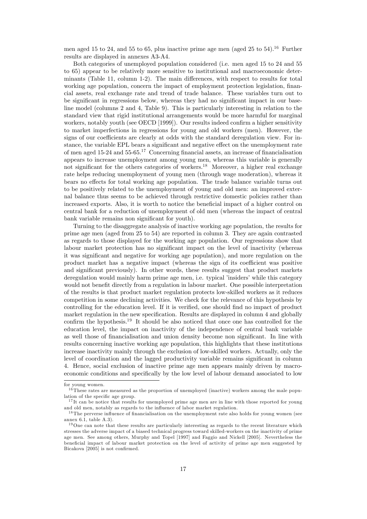men aged 15 to 24, and 55 to 65, plus inactive prime age men (aged 25 to 54).<sup>16</sup> Further results are displayed in annexes A3-A4.

Both categories of unemployed population considered (i.e. men aged 15 to 24 and 55 to 65) appear to be relatively more sensitive to institutional and macroeconomic determinants (Table 11, column 1-2). The main differences, with respect to results for total working age population, concern the impact of employment protection legislation, financial assets, real exchange rate and trend of trade balance. These variables turn out to be significant in regressions below, whereas they had no significant impact in our baseline model (columns 2 and 4, Table 9). This is particularly interesting in relation to the standard view that rigid institutional arrangements would be more harmful for marginal workers, notably youth (see OECD [1999]). Our results indeed confirm a higher sensitivity to market imperfections in regressions for young and old workers (men). However, the signs of our coefficients are clearly at odds with the standard deregulation view. For instance, the variable EPL bears a significant and negative effect on the unemployment rate of men aged 15-24 and 55-65.<sup>17</sup> Concerning financial assets, an increase of financialisation appears to increase unemployment among young men, whereas this variable is generally not significant for the others categories of workers.<sup>18</sup> Moreover, a higher real exchange rate helps reducing unemployment of young men (through wage moderation), whereas it bears no effects for total working age population. The trade balance variable turns out to be positively related to the unemployment of young and old men: an improved external balance thus seems to be achieved through restrictive domestic policies rather than increased exports. Also, it is worth to notice the beneficial impact of a higher control on central bank for a reduction of unemployment of old men (whereas the impact of central bank variable remains non significant for youth).

Turning to the disaggregate analysis of inactive working age population, the results for prime age men (aged from 25 to 54) are reported in column 3. They are again contrasted as regards to those displayed for the working age population. Our regressions show that labour market protection has no significant impact on the level of inactivity (whereas it was significant and negative for working age population), and more regulation on the product market has a negative impact (whereas the sign of its coefficient was positive and significant previously). In other words, these results suggest that product markets deregulation would mainly harm prime age men, i.e. typical 'insiders' while this category would not benefit directly from a regulation in labour market. One possible interpretation of the results is that product market regulation protects low-skilled workers as it reduces competition in some declining activities. We check for the relevance of this hypothesis by controlling for the education level. If it is verified, one should find no impact of product market regulation in the new specification. Results are displayed in column 4 and globally confirm the hypothesis.<sup>19</sup> It should be also noticed that once one has controlled for the education level, the impact on inactivity of the independence of central bank variable as well those of financialisation and union density become non significant. In line with results concerning inactive working age population, this highlights that these institutions increase inactivity mainly through the exclusion of low-skilled workers. Actually, only the level of coordination and the lagged productivity variable remains significant in column 4. Hence, social exclusion of inactive prime age men appears mainly driven by macroeconomic conditions and specifically by the low level of labour demand associated to low

for young women.

 $16$  These rates are measured as the proportion of unemployed (inactive) workers among the male population of the specific age group.

<sup>&</sup>lt;sup>17</sup>It can be notice that results for unemployed prime age men are in line with those reported for young and old men, notably as regards to the influence of labor market regulation.

<sup>&</sup>lt;sup>18</sup> The perverse influence of financialisation on the unemployment rate also holds for young women (see annex 6.1, table A.3).

 $19$ One can note that these results are particularly interesting as regards to the recent literature which stresses the adverse impact of a biased technical progress toward skilled-workers on the inactivity of prime age men. See among others, Murphy and Topel [1997] and Faggio and Nickell [2005]. Nevertheless the beneficial impact of labour market protection on the level of activity of prime age men suggested by Bicakova [2005] is not confirmed.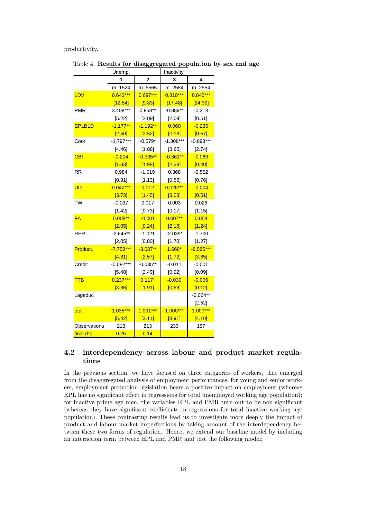#### productivity.

|               | Unemp.      |                | Inactivity  |             |  |
|---------------|-------------|----------------|-------------|-------------|--|
|               | 1           | $\overline{2}$ | 3           | 4           |  |
|               | m_1524      | 5565<br>m_     | 2554<br>m.  | m_2554      |  |
| LDV           | $0.642***$  | $0.697***$     | $0.810***$  | $0.845***$  |  |
|               | [12.54]     | [9.83]         | [17.48]     | [24.39]     |  |
| <b>PMR</b>    | 3.408***    | 0.958**        | $-0.889**$  | $-0.213$    |  |
|               | [5.22]      | [2.09]         | [2.09]      | [0.51]      |  |
| <b>EPLBLD</b> | $-1.177**$  | $-1.192**$     | 0.060       | $-0.235$    |  |
|               | [2.50]      | [2.52]         | [0.18]      | [0.57]      |  |
| Coor          | $-1.797***$ | $-0.579*$      | $-1.308***$ | $-0.893***$ |  |
|               | [4.46]      | [1.88]         | [3.65]      | [2.74]      |  |
| <b>CBI</b>    | $-0.204$    | $-0.335**$     | $-0.361**$  | $-0.069$    |  |
|               | [1.03]      | [1.98]         | [2.29]      | [0.40]      |  |
| <b>RR</b>     | 0.984       | $-1.019$       | 0.368       | $-0.562$    |  |
|               | [0.91]      | [1.13]         | [0.56]      | [0.76]      |  |
| <b>UD</b>     | $0.042***$  | 0.012          | $0.026***$  | $-0.004$    |  |
|               | [3.73]      | [1.45]         | [3.03]      | [0.51]      |  |
| TW            | $-0.037$    | 0.017          | 0.003       | 0.026       |  |
|               | [1.42]      | [0.73]         | [0.17]      | [1.15]      |  |
| <b>FA</b>     | $0.008**$   | $-0.001$       | $0.007**$   | 0.004       |  |
|               | [2.05]      | [0.24]         | [2.18]      | [1.24]      |  |
| <b>RER</b>    | $-2.645**$  | $-1.021$       | $-2.039*$   | $-1.700$    |  |
|               | [2.05]      | [0.80]         | [1.70]      | [1.27]      |  |
| Product.      | $-7.758***$ | $-3.087**$     | $1.668*$    | $-8.585***$ |  |
|               | [4.81]      | [2.57]         | [1.72]      | [3.85]      |  |
| Credit        | $-0.082***$ | $-0.035**$     | $-0.011$    | $-0.001$    |  |
|               | [5.48]      | [2.49]         | [0.92]      | [0.09]      |  |
| <b>TTB</b>    | $0.237***$  | $0.117*$       | $-0.030$    | $-0.006$    |  |
|               | [3.36]      | [1.91]         | [0.69]      | [0.12]      |  |
| Lageduc       |             |                |             | $-0.064**$  |  |
|               |             |                |             | [2.52]      |  |
| eta           | $1.035***$  | $1.031***$     | $1.000***$  | $1.000***$  |  |
|               | [5.42]      | [3.11]         | [3.91]      | [4.10]      |  |
| Observations  | 213         | 213            | 233         | 187         |  |
| final rho     | 0.26        | 0.14           |             |             |  |

Table 4. Results for disaggregated population by sex and age

### 4.2 interdependency across labour and product market regulations

In the previous section, we have focused on three categories of workers, that emerged from the disaggregated analysis of employment performances: for young and senior workers, employment protection legislation bears a positive impact on employment (whereas EPL has no significant effect in regressions for total unemployed working age population); for inactive prime age men, the variables EPL and PMR turn out to be non significant (whereas they have significant coefficients in regressions for total inactive working age population). These contrasting results lead us to investigate more deeply the impact of product and labour market imperfections by taking account of the interdependency between these two forms of regulation. Hence, we extend our baseline model by including an interaction term between EPL and PMR and test the following model: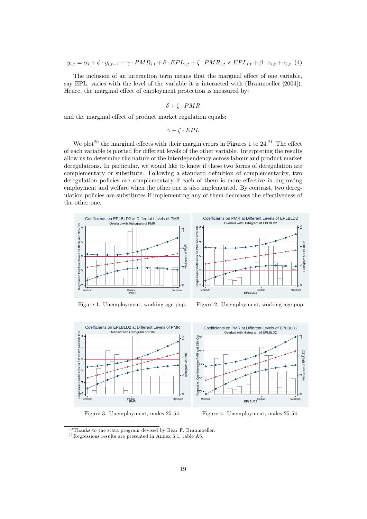The inclusion of an interaction term means that the marginal effect of one variable, say EPL, varies with the level of the variable it is interacted with (Braumoeller [2004]). Hence, the marginal effect of employment protection is measured by:

$$
\delta + \zeta \cdot PMR
$$

and the marginal effect of product market regulation equals:

$$
\gamma + \zeta \cdot EPL
$$

We plot<sup>20</sup> the marginal effects with their margin errors in Figures 1 to  $24.21$  The effect of each variable is plotted for different levels of the other variable. Interpreting the results allow us to determine the nature of the interdependency across labour and product market deregulations. In particular, we would like to know if these two forms of deregulation are complementary or substitute. Following a standard definition of complementarity, two deregulation policies are complementary if each of them is more effective in improving employment and welfare when the other one is also implemented. By contrast, two deregulation policies are substitutes if implementing any of them decreases the effectiveness of the other one.





Figure 1. Unemployment, working age pop.

Figure 2. Unemployment, working age pop.



Figure 3. Unemployment, males 25-54.



Figure 4. Unemployment, males 25-54.

 $20$  Thanks to the stata program devised by Bear F. Braumoeller.  $^{21}$ Regressions results are presented in Annex 6.1, table A6.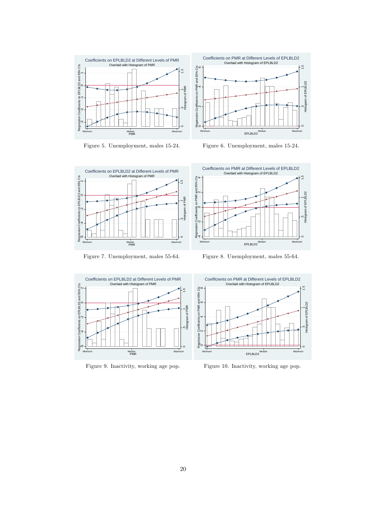

Figure 5. Unemployment, males 15-24.



Figure 6. Unemployment, males 15-24.



Figure 7. Unemployment, males 55-64.



Figure 8. Unemployment, males 55-64.



Figure 9. Inactivity, working age pop.



Figure 10. Inactivity, working age pop.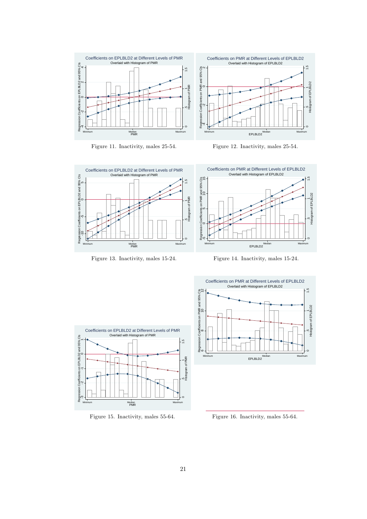

Figure 11. Inactivity, males 25-54.



Figure 12. Inactivity, males 25-54.



Figure 13. Inactivity, males 15-24.



Figure 14. Inactivity, males 15-24.



Figure 15. Inactivity, males 55-64.



Figure 16. Inactivity, males 55-64.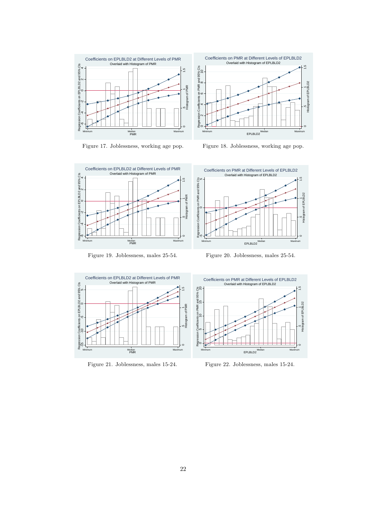

Figure 17. Joblessness, working age pop.



Figure 18. Joblessness, working age pop.



Figure 19. Joblessness, males 25-54.



Figure 20. Joblessness, males 25-54.



Figure 21. Joblessness, males 15-24.



Figure 22. Joblessness, males 15-24.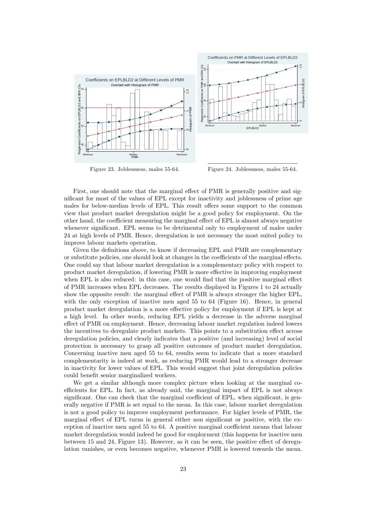

Figure 23. Joblessness, males 55-64.

Figure 24. Joblessness, males 55-64.

First, one should note that the marginal effect of PMR is generally positive and significant for most of the values of EPL except for inactivity and joblessness of prime age males for below-median levels of EPL. This result offers some support to the common view that product market deregulation might be a good policy for employment. On the other hand, the coefficient measuring the marginal effect of EPL is almost always negative whenever significant. EPL seems to be detrimental only to employment of males under 24 at high levels of PMR. Hence, deregulation is not necessary the most suited policy to improve labour markets operation.

Given the definitions above, to know if decreasing EPL and PMR are complementary or substitute policies, one should look at changes in the coefficients of the marginal effects. One could say that labour market deregulation is a complementary policy with respect to product market deregulation, if lowering PMR is more effective in improving employment when EPL is also reduced: in this case, one would find that the positive marginal effect of PMR increases when EPL decreases. The results displayed in Figures 1 to 24 actually show the opposite result: the marginal effect of PMR is always stronger the higher EPL, with the only exception of inactive men aged 55 to 64 (Figure 16). Hence, in general product market deregulation is a more effective policy for employment if EPL is kept at a high level. In other words, reducing EPL yields a decrease in the adverse marginal effect of PMR on employment. Hence, decreasing labour market regulation indeed lowers the incentives to deregulate product markets. This points to a substitution effect across deregulation policies, and clearly indicates that a positive (and increasing) level of social protection is necessary to grasp all positive outcomes of product market deregulation. Concerning inactive men aged 55 to 64, results seem to indicate that a more standard complementarity is indeed at work, as reducing PMR would lead to a stronger decrease in inactivity for lower values of EPL. This would suggest that joint deregulation policies could benefit senior marginalized workers.

We get a similar although more complex picture when looking at the marginal coefficients for EPL. In fact, as already said, the marginal impact of EPL is not always significant. One can check that the marginal coefficient of EPL, when significant, is generally negative if PMR is set equal to the mean. In this case, labour market deregulation is not a good policy to improve employment performance. For higher levels of PMR, the marginal effect of EPL turns in general either non significant or positive, with the exception of inactive men aged 55 to 64. A positive marginal coefficient means that labour market deregulation would indeed be good for employment (this happens for inactive men between 15 and 24, Figure 13). However, as it can be seen, the positive effect of deregulation vanishes, or even becomes negative, whenever PMR is lowered towards the mean.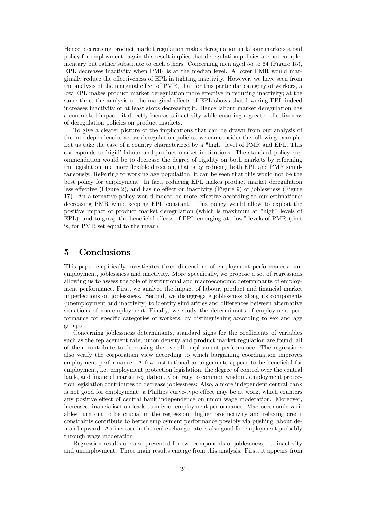Hence, decreasing product market regulation makes deregulation in labour markets a bad policy for employment: again this result implies that deregulation policies are not complementary but rather substitute to each others. Concerning men aged 55 to 64 (Figure 15), EPL decreases inactivity when PMR is at the median level. A lower PMR would marginally reduce the effectiveness of EPL in fighting inactivity. However, we have seen from the analysis of the marginal effect of PMR, that for this particular category of workers, a low EPL makes product market deregulation more effective in reducing inactivity; at the same time, the analysis of the marginal effects of EPL shows that lowering EPL indeed increases inactivity or at least stops decreasing it. Hence labour market deregulation has a contrasted impact: it directly increases inactivity while ensuring a greater effectiveness of deregulation policies on product markets.

To give a clearer picture of the implications that can be drawn from our analysis of the interdependencies across deregulation policies, we can consider the following example. Let us take the case of a country characterized by a "high" level of PMR and EPL. This corresponds to 'rigid' labour and product market institutions. The standard policy recommendation would be to decrease the degree of rigidity on both markets by reforming the legislation in a more flexible direction, that is by reducing both EPL and PMR simultaneously. Referring to working age population, it can be seen that this would not be the best policy for employment. In fact, reducing EPL makes product market deregulation less effective (Figure 2), and has no effect on inactivity (Figure 9) or joblessness (Figure 17). An alternative policy would indeed be more effective according to our estimations: decreasing PMR while keeping EPL constant. This policy would allow to exploit the positive impact of product market deregulation (which is maximum at "high" levels of EPL), and to grasp the beneficial effects of EPL emerging at "low" levels of PMR (that is, for PMR set equal to the mean).

### 5 Conclusions

This paper empirically investigates three dimensions of employment performances: unemployment, joblessness and inactivity. More specifically, we propose a set of regressions allowing us to assess the role of institutional and macroeconomic determinants of employment performance. First, we analyze the impact of labour, product and financial market imperfections on joblessness. Second, we disaggregate joblessness along its components (unemployment and inactivity) to identify similarities and differences between alternative situations of non-employment. Finally, we study the determinants of employment performance for specific categories of workers, by distinguishing according to sex and age groups.

Concerning joblessness determinants, standard signs for the coefficients of variables such as the replacement rate, union density and product market regulation are found; all of them contribute to decreasing the overall employment performance. The regressions also verify the corporatism view according to which bargaining coordination improves employment performance. A few institutional arrangements appear to be beneficial for employment, i.e. employment protection legislation, the degree of control over the central bank, and financial market regulation. Contrary to common wisdom, employment protection legislation contributes to decrease joblessness: Also, a more independent central bank is not good for employment: a Phillips curve-type effect may be at work, which counters any positive effect of central bank independence on union wage moderation. Moreover, increased financialisation leads to inferior employment performance. Macroeconomic variables turn out to be crucial in the regression: higher productivity and relaxing credit constraints contribute to better employment performance possibly via pushing labour demand upward. An increase in the real exchange rate is also good for employment probably through wage moderation.

Regression results are also presented for two components of joblessness, i.e. inactivity and unemployment. Three main results emerge from this analysis. First, it appears from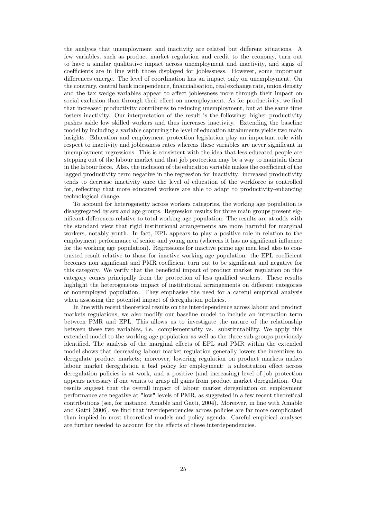the analysis that unemployment and inactivity are related but different situations. A few variables, such as product market regulation and credit to the economy, turn out to have a similar qualitative impact across unemployment and inactivity, and signs of coefficients are in line with those displayed for joblessness. However, some important differences emerge. The level of coordination has an impact only on unemployment. On the contrary, central bank independence, financialisation, real exchange rate, union density and the tax wedge variables appear to affect joblessness more through their impact on social exclusion than through their effect on unemployment. As for productivity, we find that increased productivity contributes to reducing unemployment, but at the same time fosters inactivity. Our interpretation of the result is the following: higher productivity pushes aside low skilled workers and thus increases inactivity. Extending the baseline model by including a variable capturing the level of education attainments yields two main insights. Education and employment protection legislation play an important role with respect to inactivity and joblessness rates whereas these variables are never significant in unemployment regressions. This is consistent with the idea that less educated people are stepping out of the labour market and that job protection may be a way to maintain them in the labour force. Also, the inclusion of the education variable makes the coefficient of the lagged productivity term negative in the regression for inactivity: increased productivity tends to decrease inactivity once the level of education of the workforce is controlled for, reflecting that more educated workers are able to adapt to productivity-enhancing technological change.

To account for heterogeneity across workers categories, the working age population is disaggregated by sex and age groups. Regression results for three main groups present significant differences relative to total working age population. The results are at odds with the standard view that rigid institutional arrangements are more harmful for marginal workers, notably youth. In fact, EPL appears to play a positive role in relation to the employment performance of senior and young men (whereas it has no significant influence for the working age population). Regressions for inactive prime age men lead also to contrasted result relative to those for inactive working age population: the EPL coefficient becomes non significant and PMR coefficient turn out to be significant and negative for this category. We verify that the beneficial impact of product market regulation on this category comes principally from the protection of less qualified workers. These results highlight the heterogeneous impact of institutional arrangements on different categories of nonemployed population. They emphasise the need for a careful empirical analysis when assessing the potential impact of deregulation policies.

In line with recent theoretical results on the interdependence across labour and product markets regulations, we also modify our baseline model to include an interaction term between PMR and EPL. This allows us to investigate the nature of the relationship between these two variables, i.e. complementarity vs. substitutability. We apply this extended model to the working age population as well as the three sub-groups previously identified. The analysis of the marginal effects of EPL and PMR within the extended model shows that decreasing labour market regulation generally lowers the incentives to deregulate product markets; moreover, lowering regulation on product markets makes labour market deregulation a bad policy for employment: a substitution effect across deregulation policies is at work, and a positive (and increasing) level of job protection appears necessary if one wants to grasp all gains from product market deregulation. Our results suggest that the overall impact of labour market deregulation on employment performance are negative at "low" levels of PMR, as suggested in a few recent theoretical contributions (see, for instance, Amable and Gatti, 2004). Moreover, in line with Amable and Gatti [2006], we find that interdependencies across policies are far more complicated than implied in most theoretical models and policy agenda. Careful empirical analyses are further needed to account for the effects of these interdependencies.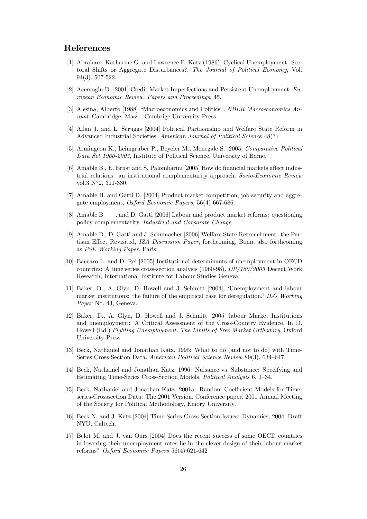### References

- [1] Abraham, Katharine G. and Lawrence F. Katz (1986), Cyclical Unemployment: Sectoral Shifts or Aggregate Disturbances?, The Journal of Political Economy, Vol. 94(3), 507-522.
- [2] Acemoglu D. [2001] Credit Market Imperfections and Persistent Unemployment. European Economic Review, Papers and Proceedings, 45.
- [3] Alesina, Alberto [1988] "Macroeconomics and Politics". NBER Macroeconomics Annual. Cambridge, Mass.: Cambrige University Press.
- [4] Allan J. and L. Scruggs [2004] Political Partisanship and Welfare State Reform in Advanced Industrial Societies. American Journal of Political Science 48(3)
- [5] Armingeon K., Leimgruber P., Beyeler M., Menegale S. [2005] Comparative Political Data Set 1960-2003, Institute of Political Science, University of Berne.
- [6] Amable B., E. Ernst and S. Palombarini [2005] How do financial markets affect industrial relations: an institutional complementarity approach. Socio-Economic Review vol.3  $N^{\circ}2$ , 311-330.
- [7] Amable B. and Gatti D. [2004] Product market competition, job security and aggregate employment, Oxford Economic Papers, 56(4) 667-686.
- [8] Amable B . and D. Gatti [2006] Labour and product market reforms: questioning policy complementarity. Industrial and Corporate Change.
- [9] Amable B., D. Gatti and J. Schumacher [2006] Welfare State Retrenchment: the Partisan Effect Revisited, IZA Discussion Paper, forthcoming, Bonn; also forthcoming as PSE Working Paper, Paris.
- [10] Baccaro L. and D. Rei [2005] Institutional determinants of unemployment in OECD countries: A time series cross-section analysis (1960-98). DP/160/2005 Decent Work Research, International Institute for Labour Studies Geneva
- [11] Baker, D., A. Glyn, D. Howell and J. Schmitt [2004], ëUnemployment and labour market institutions: the failure of the empirical case for deregulation,  $\sum DO\ Working$ Paper No. 43, Geneva.
- [12] Baker, D., A. Glyn, D. Howell and J. Schmitt [2005] labour Market Institutions and unemployment: A Critical Assessment of the Cross-Country Evidence. In D. Howell (Ed.) Fighting Unemployment. The Limits of Free Market Orthodoxy. Oxford University Press.
- [13] Beck, Nathaniel and Jonathan Katz, 1995: What to do (and not to do) with Time-Series Cross-Section Data. American Political Science Review 89(3), 634–647.
- [14] Beck, Nathaniel and Jonathan Katz, 1996: Nuisance vs. Substance: Specifying and Estimating Time-Series Cross-Section Models. Political Analysis 6, 1–34.
- [15] Beck, Nathaniel and Jonathan Katz, 2001a: Random Coefficient Models for Timeseries-Crosssection Data: The 2001 Version. Conference paper. 2001 Annual Meeting of the Society for Political Methodology, Emory University.
- [16] Beck N. and J. Katz [2004] Time-Series-Cross-Section Issues: Dynamics, 2004. Draft NYU, Caltech.
- [17] Belot M. and J. van Ours [2004] Does the recent success of some OECD countries in lowering their unemployment rates lie in the clever design of their labour market reforms? Oxford Economic Papers 56(4):621-642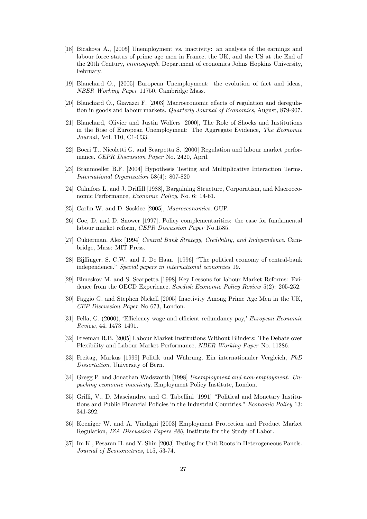- [18] Bicakova A., [2005] Unemployment vs. inactivity: an analysis of the earnings and labour force status of prime age men in France, the UK, and the US at the End of the 20th Century, mimeograph, Department of economics Johns Hopkins University, February.
- [19] Blanchard O., [2005] European Unemployment: the evolution of fact and ideas, NBER Working Paper 11750, Cambridge Mass.
- [20] Blanchard O., Giavazzi F. [2003] Macroeconomic effects of regulation and deregulation in goods and labour markets, Quarterly Journal of Economics, August, 879-907.
- [21] Blanchard, Olivier and Justin Wolfers [2000], The Role of Shocks and Institutions in the Rise of European Unemployment: The Aggregate Evidence, The Economic Journal, Vol. 110, C1-C33.
- [22] Boeri T., Nicoletti G. and Scarpetta S. [2000] Regulation and labour market performance. CEPR Discussion Paper No. 2420, April.
- [23] Braumoeller B.F. [2004] Hypothesis Testing and Multiplicative Interaction Terms. International Organization 58(4): 807-820
- [24] Calmfors L. and J. Driffill [1988], Bargaining Structure, Corporatism, and Macroeconomic Performance, Economic Policy, No. 6: 14-61.
- [25] Carlin W. and D. Soskice [2005], Macroeconomics, OUP.
- [26] Coe, D. and D. Snower [1997], Policy complementarities: the case for fundamental labour market reform, CEPR Discussion Paper No.1585.
- [27] Cukierman, Alex [1994] Central Bank Strategy, Credibility, and Independence. Cambridge, Mass: MIT Press.
- [28] Eijffinger, S. C.W. and J. De Haan [1996] "The political economy of central-bank independence." Special papers in international economies 19.
- [29] Elmeskov M. and S. Scarpetta [1998] Key Lessons for labour Market Reforms: Evidence from the OECD Experience. Swedish Economic Policy Review 5(2): 205-252.
- [30] Faggio G. and Stephen Nickell [2005] Inactivity Among Prime Age Men in the UK, CEP Discussion Paper No 673, London.
- [31] Fella, G. (2000), 'Efficiency wage and efficient redundancy pay,' European Economic  $Review, 44, 1473–1491.$
- [32] Freeman R.B. [2005] Labour Market Institutions Without Blinders: The Debate over Flexibility and Labour Market Performance, NBER Working Paper No. 11286.
- [33] Freitag, Markus [1999] Politik und W‰hrung. Ein internationaler Vergleich, PhD Dissertation, University of Bern.
- [34] Gregg P. and Jonathan Wadsworth [1998] Unemployment and non-employment: Unpacking economic inactivity, Employment Policy Institute, London.
- [35] Grilli, V., D. Masciandro, and G. Tabellini [1991] "Political and Monetary Institutions and Public Financial Policies in the Industrial Countries." Economic Policy 13: 341-392.
- [36] Koeniger W. and A. Vindigni [2003] Employment Protection and Product Market Regulation, IZA Discussion Papers 880, Institute for the Study of Labor.
- [37] Im K., Pesaran H. and Y. Shin [2003] Testing for Unit Roots in Heterogeneous Panels. Journal of Econometrics, 115, 53-74.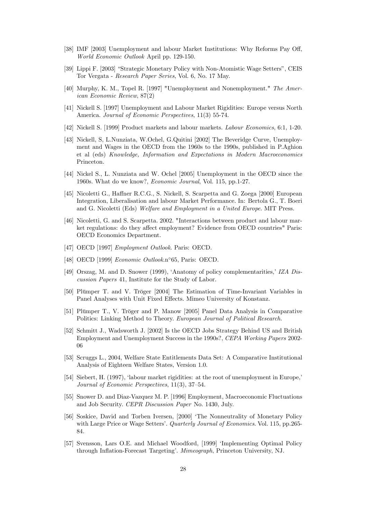- [38] IMF [2003] Unemployment and labour Market Institutions: Why Reforms Pay Off, World Economic Outlook April pp. 129-150.
- [39] Lippi F. [2003] "Strategic Monetary Policy with Non-Atomistic Wage Setters", CEIS Tor Vergata - Research Paper Series, Vol. 6, No. 17 May.
- [40] Murphy, K. M., Topel R. [1997] "Unemployment and Nonemployment." The American Economic Review, 87(2)
- [41] Nickell S. [1997] Unemployment and Labour Market Rigidities: Europe versus North America. Journal of Economic Perspectives, 11(3) 55-74.
- [42] Nickell S. [1999] Product markets and labour markets. Labour Economics, 6:1, 1-20.
- [43] Nickell, S, L.Nunziata, W.Ochel, G.Quitini [2002] The Beveridge Curve, Unemployment and Wages in the OECD from the 1960s to the 1990s, published in P.Aghion et al (eds) Knowledge, Information and Expectations in Modern Macroeconomics Princeton.
- [44] Nickel S., L. Nunziata and W. Ochel [2005] Unemployment in the OECD since the 1960s. What do we know?, Economic Journal, Vol. 115, pp.1-27.
- [45] Nicoletti G., Haffner R.C.G., S. Nickell, S. Scarpetta and G. Zoega [2000] European Integration, Liberalisation and labour Market Performance. In: Bertola G., T. Boeri and G. Nicoletti (Eds) Welfare and Employment in a United Europe. MIT Press.
- [46] Nicoletti, G. and S. Scarpetta. 2002. "Interactions between product and labour market regulations: do they affect employment? Evidence from OECD countries" Paris: OECD Economics Department.
- [47] OECD [1997] *Employment Outlook*. Paris: OECD.
- [48] OECD [1999]  $Economic\ Outlook.n°65$ , Paris: OECD.
- [49] Orszag, M. and D. Snower (1999), 'Anatomy of policy complementarities,' IZA Discussion Papers 41, Institute for the Study of Labor.
- [50] Plümper T. and V. Tröger [2004] The Estimation of Time-Invariant Variables in Panel Analyses with Unit Fixed Effects. Mimeo University of Konstanz.
- [51] Plümper T., V. Tröger and P. Manow [2005] Panel Data Analysis in Comparative Politics: Linking Method to Theory. European Journal of Political Research.
- [52] Schmitt J., Wadsworth J. [2002] Is the OECD Jobs Strategy Behind US and British Employment and Unemployment Success in the 1990s?, CEPA Working Papers 2002- 06
- [53] Scruggs L., 2004, Welfare State Entitlements Data Set: A Comparative Institutional Analysis of Eighteen Welfare States, Version 1.0.
- $[54]$  Siebert, H. (1997), 'labour market rigidities: at the root of unemployment in Europe,' Journal of Economic Perspectives,  $11(3)$ ,  $37-54$ .
- [55] Snower D. and Diaz-Vazquez M. P. [1996] Employment, Macroeconomic Fluctuations and Job Security. CEPR Discussion Paper No. 1430, July.
- [56] Soskice, David and Torben Iversen, [2000] 'The Nonneutrality of Monetary Policy with Large Price or Wage Setters'. Quarterly Journal of Economics. Vol. 115, pp.265-84.
- [57] Svensson, Lars O.E. and Michael Woodford, [1999] 'Implementing Optimal Policy through Inflation-Forecast Targeting'. Mimeograph, Princeton University, NJ.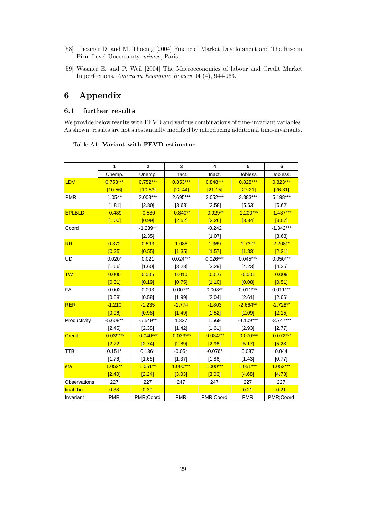- [58] Thesmar D. and M. Thoenig [2004] Financial Market Development and The Rise in Firm Level Uncertainty, mimeo, Paris.
- [59] Wasmer E. and P. Weil [2004] The Macroeconomics of labour and Credit Market Imperfections. American Economic Review 94 (4), 944-963.

# 6 Appendix

### 6.1 further results

We provide below results with FEVD and various combinations of time-invariant variables. As shown, results are not substantially modified by introducing additional time-invariants.

|               | 1           | $\mathbf{2}$ | 3           | 4           | 5           | 6           |
|---------------|-------------|--------------|-------------|-------------|-------------|-------------|
|               | Unemp.      | Unemp.       | Inact.      | Inact.      | Jobless     | Jobless.    |
| LDV           | $0.753***$  | $0.752***$   | $0.853***$  | $0.848***$  | $0.828***$  | $0.823***$  |
|               | [10.56]     | [10.53]      | [22.44]     | [21.15]     | [27.21]     | [26.31]     |
| <b>PMR</b>    | $1.054*$    | 2.003***     | 2.695***    | 3.052***    | 3.883***    | 5.198***    |
|               | [1.81]      | [2.80]       | [3.63]      | [3.58]      | [5.63]      | [5.62]      |
| <b>EPLBLD</b> | $-0.489$    | $-0.530$     | $-0.840**$  | $-0.929**$  | $-1.200***$ | $-1.437***$ |
|               | [1.00]      | [0.99]       | [2.52]      | [2.26]      | [3.34]      | [3.07]      |
| Coord         |             | $-1.239**$   |             | $-0.242$    |             | $-1.342***$ |
|               |             | [2.35]       |             | [1.07]      |             | [3.63]      |
| <b>RR</b>     | 0.372       | 0.593        | 1.085       | 1.369       | $1.730*$    | $2.208**$   |
|               | [0.35]      | [0.55]       | [1.35]      | [1.57]      | [1.83]      | [2.21]      |
| UD            | $0.020*$    | 0.021        | $0.024***$  | $0.026***$  | $0.045***$  | $0.050***$  |
|               | [1.66]      | [1.60]       | [3.23]      | [3.29]      | [4.23]      | [4.35]      |
| <b>TW</b>     | 0.000       | 0.005        | 0.010       | 0.016       | $-0.001$    | 0.009       |
|               | [0.01]      | [0.19]       | [0.75]      | [1.10]      | [0.08]      | [0.51]      |
| <b>FA</b>     | 0.002       | 0.003        | $0.007**$   | $0.008**$   | $0.011***$  | $0.011***$  |
|               | [0.58]      | [0.58]       | [1.99]      | [2.04]      | [2.61]      | [2.66]      |
| <b>RER</b>    | $-1.210$    | $-1.235$     | $-1.774$    | $-1.803$    | $-2.664**$  | $-2.728**$  |
|               | [0.96]      | [0.98]       | [1.49]      | [1.52]      | [2.09]      | [2.15]      |
| Productivity  | $-5.608**$  | $-5.549**$   | 1.327       | 1.569       | $-4.109***$ | $-3.747***$ |
|               | [2.45]      | [2.38]       | [1.42]      | [1.61]      | [2.93]      | [2.77]      |
| <b>Credit</b> | $-0.039***$ | $-0.040***$  | $-0.033***$ | $-0.034***$ | $-0.070***$ | $-0.072***$ |
|               | [2.72]      | [2.74]       | [2.89]      | [2.96]      | [5.17]      | [5.28]      |
| <b>TTB</b>    | $0.151*$    | $0.136*$     | $-0.054$    | $-0.076*$   | 0.087       | 0.044       |
|               | [1.76]      | [1.66]       | [1.37]      | [1.86]      | [1.43]      | [0.77]      |
| eta           | $1.052**$   | $1.051**$    | $1.000***$  | $1.000***$  | $1.051***$  | 1.052***    |
|               | [2.40]      | [2.24]       | [3.03]      | [3.06]      | [4.68]      | [4.73]      |
| Observations  | 227         | 227          | 247         | 247         | 227         | 227         |
| final rho     | 0.38        | 0.39         |             |             | 0.21        | 0.21        |
| Invariant     | <b>PMR</b>  | PMR;Coord    | <b>PMR</b>  | PMR;Coord   | <b>PMR</b>  | PMR;Coord   |

### Table A1. Variant with FEVD estimator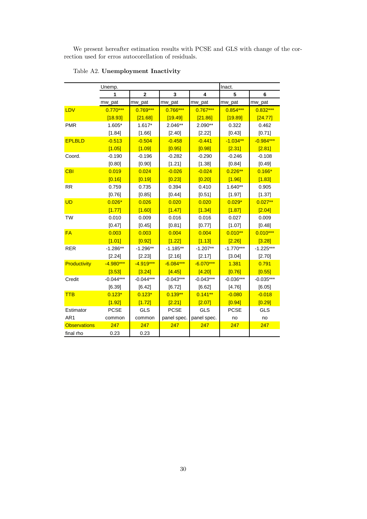We present hereafter estimation results with PCSE and GLS with change of the correction used for erros autocorellation of residuals.

|                     | Unemp.      |              |             |             | Inact.      |             |
|---------------------|-------------|--------------|-------------|-------------|-------------|-------------|
|                     | 1           | $\mathbf{2}$ | 3           | 4           | 5           | 6           |
|                     | mw_pat      | mw_pat       | mw_pat      | mw_pat      | mw_pat      | mw_pat      |
| LDV                 | $0.770***$  | $0.769***$   | $0.766***$  | $0.767***$  | $0.854***$  | $0.832***$  |
|                     | [18.93]     | [21.68]      | [19.49]     | [21.86]     | [19.89]     | [24.77]     |
| <b>PMR</b>          | $1.605*$    | $1.617*$     | 2.046**     | 2.090**     | 0.322       | 0.462       |
|                     | [1.84]      | [1.66]       | [2.40]      | [2.22]      | [0.43]      | [0.71]      |
| <b>EPLBLD</b>       | $-0.513$    | $-0.504$     | $-0.458$    | $-0.441$    | $-1.034**$  | $-0.984***$ |
|                     | [1.05]      | [1.09]       | [0.95]      | [0.98]      | [2.31]      | [2.81]      |
| Coord.              | $-0.190$    | $-0.196$     | $-0.282$    | $-0.290$    | $-0.246$    | $-0.108$    |
|                     | [0.80]      | [0.90]       | [1.21]      | [1.38]      | [0.84]      | [0.49]      |
| <b>CBI</b>          | 0.019       | 0.024        | $-0.026$    | $-0.024$    | $0.226**$   | $0.166*$    |
|                     | [0.16]      | [0.19]       | [0.23]      | [0.20]      | [1.96]      | [1.83]      |
| <b>RR</b>           | 0.759       | 0.735        | 0.394       | 0.410       | $1.640**$   | 0.905       |
|                     | [0.76]      | [0.85]       | [0.44]      | [0.51]      | [1.97]      | [1.37]      |
| <b>UD</b>           | $0.026*$    | 0.026        | 0.020       | 0.020       | $0.029*$    | $0.027**$   |
|                     | [1.77]      | [1.60]       | [1.47]      | [1.34]      | [1.87]      | [2.04]      |
| <b>TW</b>           | 0.010       | 0.009        | 0.016       | 0.016       | 0.027       | 0.009       |
|                     | [0.47]      | [0.45]       | [0.81]      | [0.77]      | [1.07]      | [0.48]      |
| <b>FA</b>           | 0.003       | 0.003        | 0.004       | 0.004       | $0.010**$   | $0.010***$  |
|                     | [1.01]      | [0.92]       | [1.22]      | [1.13]      | [2.26]      | [3.28]      |
| <b>RER</b>          | $-1.286**$  | $-1.296**$   | $-1.185**$  | $-1.207**$  | $-1.770***$ | $-1.225***$ |
|                     | [2.24]      | [2.23]       | [2.16]      | [2.17]      | [3.04]      | [2.70]      |
| Productivity        | $-4.980***$ | $-4.919***$  | $-6.084***$ | $-6.070***$ | 1.381       | 0.791       |
|                     | [3.53]      | [3.24]       | [4.45]      | [4.20]      | [0.76]      | [0.55]      |
| Credit              | $-0.044***$ | $-0.044***$  | $-0.043***$ | $-0.043***$ | $-0.036***$ | $-0.035***$ |
|                     | [6.39]      | [6.42]       | [6.72]      | [6.62]      | [4.76]      | [6.05]      |
| <b>TTB</b>          | $0.123*$    | $0.123*$     | $0.139**$   | $0.141***$  | $-0.080$    | $-0.018$    |
|                     | [1.92]      | [1.72]       | [2.21]      | [2.07]      | [0.94]      | [0.29]      |
| Estimator           | <b>PCSE</b> | <b>GLS</b>   | <b>PCSE</b> | <b>GLS</b>  | <b>PCSE</b> | <b>GLS</b>  |
| AR <sub>1</sub>     | common      | common       | panel spec. | panel spec. | no          | no          |
| <b>Observations</b> | 247         | 247          | 247         | 247         | 247         | 247         |
| final rho           | 0.23        | 0.23         |             |             |             |             |

### Table A2. Unemployment Inactivity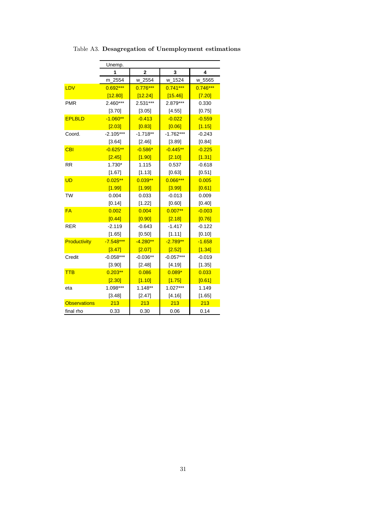|                     | Unemp.      |                |             |            |  |
|---------------------|-------------|----------------|-------------|------------|--|
|                     | 1           | $\overline{2}$ | 3           | 4          |  |
|                     | 2554<br>m   | w_2554         | w_1524      | w_5565     |  |
| LDV                 | $0.692***$  | $0.776***$     | $0.741***$  | $0.746***$ |  |
|                     | [12.80]     | [12.24]        | [15.46]     | [7.20]     |  |
| <b>PMR</b>          | 2.460***    | 2.531***       | 2.879***    | 0.330      |  |
|                     | [3.70]      | [3.05]         | [4.55]      | [0.75]     |  |
| <b>EPLBLD</b>       | $-1.060**$  | $-0.413$       | $-0.022$    | $-0.559$   |  |
|                     | [2.03]      | [0.83]         | [0.06]      | [1.15]     |  |
| Coord.              | $-2.105***$ | $-1.718**$     | $-1.762***$ | $-0.243$   |  |
|                     | [3.64]      | [2.46]         | [3.89]      | [0.84]     |  |
| <b>CBI</b>          | $-0.625**$  | $-0.586*$      | $-0.445**$  | $-0.225$   |  |
|                     | [2.45]      | [1.90]         | [2.10]      | [1.31]     |  |
| <b>RR</b>           | 1.730*      | 1.115          | 0.537       | $-0.618$   |  |
|                     | [1.67]      | [1.13]         | [0.63]      | [0.51]     |  |
| <b>UD</b>           | $0.025***$  | $0.039**$      | $0.066***$  | 0.005      |  |
|                     | [1.99]      | [1.99]         | [3.99]      | [0.61]     |  |
| <b>TW</b>           | 0.004       | 0.033          | $-0.013$    | 0.009      |  |
|                     | [0.14]      | [1.22]         | [0.60]      | [0.40]     |  |
| <b>FA</b>           | 0.002       | 0.004          | $0.007**$   | $-0.003$   |  |
|                     | [0.44]      | [0.90]         | [2.18]      | [0.76]     |  |
| <b>RER</b>          | $-2.119$    | $-0.643$       | $-1.417$    | $-0.122$   |  |
|                     | [1.65]      | [0.50]         | [1.11]      | [0.10]     |  |
| Productivity        | $-7.548***$ | $-4.280**$     | $-2.789**$  | $-1.658$   |  |
|                     | [3.47]      | [2.07]         | [2.52]      | [1.34]     |  |
| Credit              | $-0.058***$ | $-0.036**$     | $-0.057***$ | $-0.019$   |  |
|                     | [3.90]      | [2.48]         | [4.19]      | [1.35]     |  |
| <b>TTB</b>          | $0.203**$   | 0.086          | $0.089*$    | 0.033      |  |
|                     | [2.30]      | [1.10]         | [1.75]      | [0.61]     |  |
| eta                 | 1.098***    | $1.148**$      | 1.027***    | 1.149      |  |
|                     | [3.48]      | [2.47]         | [4.16]      | [1.65]     |  |
| <b>Observations</b> | 213         | 213            | 213         | 213        |  |
| final rho           | 0.33        | 0.30           | 0.06        | 0.14       |  |

Table A3. Desagregation of Unemployment estimations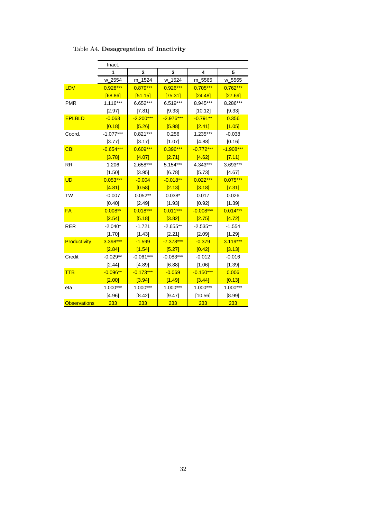|                     | Inact.      |             |             |             |             |
|---------------------|-------------|-------------|-------------|-------------|-------------|
|                     | 1           | 2           | 3           | 4           | 5           |
|                     | $W_2$ 2554  | m_1524      | w_1524      | m_5565      | w_5565      |
| LDV                 | 0.928***    | $0.879***$  | 0.926***    | $0.705***$  | $0.762***$  |
|                     | [68.86]     | [51.15]     | [75.31]     | [24.48]     | [27.69]     |
| <b>PMR</b>          | $1.116***$  | 6.652***    | 6.519***    | 8.945***    | 8.286***    |
|                     | [2.97]      | [7.81]      | [9.33]      | [10.12]     | [9.33]      |
| <b>EPLBLD</b>       | $-0.063$    | $-2.200***$ | $-2.976***$ | $-0.791**$  | 0.356       |
|                     | [0.18]      | [5.26]      | [5.98]      | [2.41]      | [1.05]      |
| Coord.              | $-1.077***$ | $0.821***$  | 0.256       | 1.235***    | $-0.038$    |
|                     | [3.77]      | [3.17]      | [1.07]      | [4.88]      | [0.16]      |
| <b>CBI</b>          | $-0.654***$ | $0.609***$  | 0.396***    | $-0.772***$ | $-1.908***$ |
|                     | [3.78]      | [4.07]      | [2.71]      | [4.62]      | [7.11]      |
| <b>RR</b>           | 1.206       | 2.658***    | 5.154***    | 4.343***    | 3.693***    |
|                     | [1.50]      | [3.95]      | [6.78]      | [5.73]      | [4.67]      |
| <b>UD</b>           | $0.053***$  | $-0.004$    | $-0.018**$  | $0.022***$  | $0.075***$  |
|                     | [4.81]      | [0.58]      | [2.13]      | [3.18]      | [7.31]      |
| <b>TW</b>           | $-0.007$    | $0.052**$   | $0.038*$    | 0.017       | 0.026       |
|                     | [0.40]      | [2.49]      | [1.93]      | [0.92]      | [1.39]      |
| <b>FA</b>           | $0.008**$   | $0.018***$  | $0.011***$  | $-0.008***$ | $0.014***$  |
|                     | [2.54]      | [5.18]      | [3.82]      | [2.75]      | [4.72]      |
| <b>RER</b>          | $-2.040*$   | $-1.721$    | $-2.655**$  | $-2.535**$  | $-1.554$    |
|                     | [1.70]      | [1.43]      | [2.21]      | [2.09]      | [1.29]      |
| <b>Productivity</b> | 3.398***    | $-1.599$    | $-7.378***$ | $-0.379$    | $3.119***$  |
|                     | [2.84]      | [1.54]      | [5.27]      | [0.42]      | [3.13]      |
| Credit              | $-0.029**$  | $-0.061***$ | $-0.083***$ | $-0.012$    | $-0.016$    |
|                     | [2.44]      | [4.89]      | [6.88]      | [1.06]      | [1.39]      |
| <b>TTB</b>          | $-0.096**$  | $-0.173***$ | $-0.069$    | $-0.150***$ | 0.006       |
|                     | [2.00]      | [3.94]      | [1.49]      | [3.44]      | [0.13]      |
| eta                 | 1.000***    | 1.000***    | 1.000***    | 1.000***    | $1.000***$  |
|                     | [4.96]      | [8.42]      | [9.47]      | [10.56]     | [8.99]      |
| <b>Observations</b> | 233         | 233         | 233         | 233         | 233         |

Table A4. Desagregation of Inactivity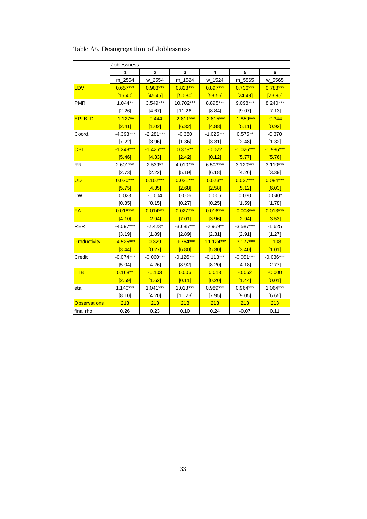|                     | Joblessness |              |             |              |             |             |
|---------------------|-------------|--------------|-------------|--------------|-------------|-------------|
|                     | 1           | $\mathbf{2}$ | 3           | 4            | 5           | 6           |
|                     | m_2554      | $W_2$ 2554   | m_1524      | w_1524       | m_5565      | w_5565      |
| LDV                 | $0.657***$  | $0.903***$   | $0.828***$  | $0.897***$   | $0.736***$  | 0.788***    |
|                     | [16.40]     | [45.45]      | [50.80]     | [58.56]      | [24.49]     | [23.95]     |
| <b>PMR</b>          | $1.044**$   | 3.549***     | 10.702***   | 8.895***     | 9.098***    | 8.240***    |
|                     | [2.26]      | [4.67]       | [11.26]     | [8.84]       | [9.07]      | [7.13]      |
| <b>EPLBLD</b>       | $-1.127**$  | $-0.444$     | $-2.811***$ | $-2.815***$  | $-1.859***$ | $-0.344$    |
|                     | [2.41]      | [1.02]       | [6.32]      | [4.88]       | [5.11]      | [0.92]      |
| Coord.              | $-4.393***$ | $-2.281***$  | $-0.360$    | $-1.025***$  | $0.575**$   | $-0.370$    |
|                     | [7.22]      | [3.96]       | [1.36]      | [3.31]       | [2.48]      | [1.32]      |
| <b>CBI</b>          | $-1.248***$ | $-1.426***$  | $0.379**$   | $-0.022$     | $-1.026***$ | $-1.986***$ |
|                     | [5.46]      | [4.33]       | [2.42]      | [0.12]       | [5.77]      | [5.76]      |
| <b>RR</b>           | 2.601***    | 2.539**      | 4.010***    | 6.503***     | 3.120***    | $3.110***$  |
|                     | [2.73]      | [2.22]       | [5.19]      | [6.18]       | [4.26]      | [3.39]      |
| <b>UD</b>           | $0.070***$  | $0.102***$   | $0.021***$  | $0.023**$    | $0.037***$  | $0.084***$  |
|                     | [5.75]      | [4.35]       | [2.68]      | [2.58]       | [5.12]      | [6.03]      |
| <b>TW</b>           | 0.023       | $-0.004$     | 0.006       | 0.006        | 0.030       | $0.040*$    |
|                     | [0.85]      | [0.15]       | [0.27]      | [0.25]       | [1.59]      | [1.78]      |
| <b>FA</b>           | $0.018***$  | $0.014***$   | $0.027***$  | $0.016***$   | $-0.008***$ | $0.013***$  |
|                     | [4.10]      | [2.94]       | [7.01]      | [3.96]       | [2.94]      | [3.53]      |
| <b>RER</b>          | $-4.097***$ | $-2.423*$    | $-3.685***$ | $-2.969**$   | $-3.587***$ | $-1.625$    |
|                     | [3.19]      | [1.89]       | [2.89]      | [2.31]       | [2.91]      | [1.27]      |
| Productivity        | $-4.525***$ | 0.329        | $-9.764***$ | $-11.124***$ | $-3.177***$ | 1.108       |
|                     | [3.44]      | [0.27]       | [6.80]      | [5.30]       | [3.40]      | [1.01]      |
| Credit              | $-0.074***$ | $-0.060***$  | $-0.126***$ | $-0.118***$  | $-0.051***$ | $-0.036***$ |
|                     | [5.04]      | [4.26]       | [8.92]      | [8.20]       | [4.18]      | [2.77]      |
| <b>TTB</b>          | $0.168**$   | $-0.103$     | 0.006       | 0.013        | $-0.062$    | $-0.000$    |
|                     | [2.59]      | [1.62]       | [0.11]      | [0.20]       | [1.44]      | [0.01]      |
| eta                 | $1.140***$  | $1.041***$   | $1.018***$  | 0.989***     | $0.964***$  | 1.064***    |
|                     | [8.10]      | [4.20]       | [11.23]     | [7.95]       | [9.05]      | [6.65]      |
| <b>Observations</b> | 213         | 213          | 213         | 213          | 213         | 213         |
| final rho           | 0.26        | 0.23         | 0.10        | 0.24         | $-0.07$     | 0.11        |

Table A5. Desagregation of Joblessness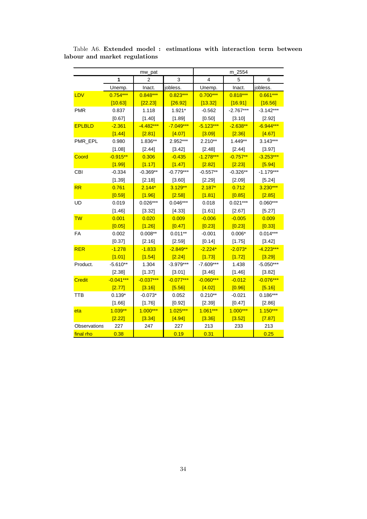|               |             | mw_pat      |             | m_2554      |             |             |
|---------------|-------------|-------------|-------------|-------------|-------------|-------------|
|               | 1           | 2           | 3           | 4           | 5           | 6           |
|               | Unemp.      | Inact.      | jobless.    | Unemp.      | Inact.      | jobless.    |
| LDV           | $0.754***$  | 0.848***    | $0.823***$  | $0.700***$  | $0.818***$  | $0.661***$  |
|               | [10.63]     | [22.23]     | [26.92]     | [13.32]     | [16.91]     | [16.56]     |
| <b>PMR</b>    | 0.837       | 1.118       | 1.921*      | $-0.562$    | $-2.767***$ | $-3.142***$ |
|               | [0.67]      | [1.40]      | [1.89]      | [0.50]      | [3.10]      | [2.92]      |
| <b>EPLBLD</b> | $-2.361$    | $-4.482***$ | $-7.049***$ | $-5.123***$ | $-2.638**$  | $-6.944***$ |
|               | [1.44]      | [2.81]      | [4.07]      | [3.09]      | [2.36]      | [4.67]      |
| PMR_EPL       | 0.980       | 1.836**     | 2.952***    | $2.210**$   | 1.449**     | $3.143***$  |
|               | [1.08]      | [2.44]      | [3.42]      | [2.48]      | [2.44]      | [3.97]      |
| Coord         | $-0.915**$  | 0.306       | $-0.435$    | $-1.278***$ | $-0.757**$  | $-3.253***$ |
|               | [1.99]      | [1.17]      | [1.47]      | [2.82]      | [2.23]      | [5.94]      |
| <b>CBI</b>    | $-0.334$    | $-0.369**$  | $-0.779***$ | $-0.557**$  | $-0.326**$  | $-1.179***$ |
|               | [1.39]      | [2.18]      | [3.60]      | [2.29]      | [2.09]      | [5.24]      |
| RR            | 0.761       | $2.144*$    | $3.129**$   | $2.187*$    | 0.712       | 3.230***    |
|               | [0.59]      | [1.96]      | [2.58]      | [1.81]      | [0.85]      | [2.85]      |
| <b>UD</b>     | 0.019       | $0.026***$  | $0.046***$  | 0.018       | $0.021***$  | $0.060***$  |
|               | [1.46]      | [3.32]      | [4.33]      | [1.61]      | [2.67]      | [5.27]      |
| <b>TW</b>     | 0.001       | 0.020       | 0.009       | $-0.006$    | $-0.005$    | 0.009       |
|               | [0.05]      | [1.26]      | [0.47]      | [0.23]      | [0.23]      | [0.33]      |
| FA            | 0.002       | $0.008**$   | $0.011**$   | $-0.001$    | $0.006*$    | $0.014***$  |
|               | [0.37]      | [2.16]      | [2.59]      | [0.14]      | [1.75]      | [3.42]      |
| <b>RER</b>    | $-1.278$    | $-1.833$    | $-2.849**$  | $-2.224*$   | $-2.073*$   | $-4.223***$ |
|               | [1.01]      | [1.54]      | [2.24]      | [1.73]      | [1.72]      | [3.29]      |
| Product.      | $-5.610**$  | 1.304       | $-3.979***$ | $-7.609***$ | 1.438       | $-5.050***$ |
|               | [2.38]      | [1.37]      | [3.01]      | [3.46]      | [1.46]      | [3.82]      |
| <b>Credit</b> | $-0.041***$ | $-0.037***$ | $-0.077***$ | $-0.060***$ | $-0.012$    | $-0.076***$ |
|               | [2.77]      | [3.16]      | [5.56]      | [4.02]      | [0.96]      | [5.16]      |
| <b>TTB</b>    | $0.139*$    | $-0.073*$   | 0.052       | $0.210**$   | $-0.021$    | $0.186***$  |
|               | [1.66]      | [1.76]      | [0.92]      | [2.39]      | [0.47]      | [2.86]      |
| eta           | $1.039**$   | $1.000***$  | 1.025***    | $1.061***$  | $1.000***$  | $1.150***$  |
|               | $[2.22]$    | [3.34]      | [4.94]      | [3.36]      | [3.52]      | [7.87]      |
| Observations  | 227         | 247         | 227         | 213         | 233         | 213         |
| final rho     | 0.38        |             | 0.19        | 0.31        |             | 0.25        |

Table A6. Extended model : estimations with interaction term between labour and market regulations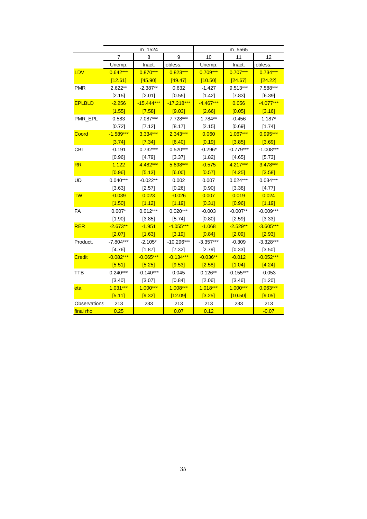|                     | m_1524      |              |              | m_5565      |             |             |
|---------------------|-------------|--------------|--------------|-------------|-------------|-------------|
|                     | 7           | 8            | 9            | 10          | 11          | 12          |
|                     | Unemp.      | Inact.       | jobless.     | Unemp.      | Inact.      | jobless.    |
| LDV                 | $0.642***$  | $0.870***$   | $0.823***$   | $0.709***$  | $0.707***$  | $0.734***$  |
|                     | [12.61]     | [45.90]      | [49.47]      | [10.50]     | [24.67]     | [24.22]     |
| <b>PMR</b>          | 2.622**     | $-2.387**$   | 0.632        | $-1.427$    | 9.513***    | 7.588***    |
|                     | [2.15]      | [2.01]       | [0.55]       | [1.42]      | [7.83]      | [6.39]      |
| <b>EPLBLD</b>       | $-2.256$    | $-15.444***$ | $-17.218***$ | $-4.467***$ | 0.056       | $-4.077***$ |
|                     | [1.55]      | [7.58]       | [9.03]       | [2.66]      | [0.05]      | [3.16]      |
| PMR_EPL             | 0.583       | 7.087***     | 7.728***     | 1.784**     | $-0.456$    | $1.187*$    |
|                     | [0.72]      | [7.12]       | [8.17]       | [2.15]      | [0.69]      | [1.74]      |
| Coord               | $-1.589***$ | 3.334***     | 2.343***     | 0.060       | 1.067***    | $0.995***$  |
|                     | [3.74]      | [7.34]       | [6.40]       | [0.19]      | [3.85]      | [3.69]      |
| <b>CBI</b>          | $-0.191$    | 0.732***     | $0.520***$   | $-0.296*$   | $-0.779***$ | $-1.008***$ |
|                     | [0.96]      | [4.79]       | [3.37]       | [1.82]      | [4.65]      | [5.73]      |
| <b>RR</b>           | 1.122       | 4.482***     | 5.898***     | $-0.575$    | 4.217***    | 3.478***    |
|                     | [0.96]      | [5.13]       | [6.00]       | [0.57]      | [4.25]      | [3.58]      |
| <b>UD</b>           | $0.040***$  | $-0.022**$   | 0.002        | 0.007       | $0.024***$  | $0.034***$  |
|                     | [3.63]      | [2.57]       | [0.26]       | [0.90]      | [3.38]      | [4.77]      |
| <b>TW</b>           | $-0.039$    | 0.023        | $-0.026$     | 0.007       | 0.019       | 0.024       |
|                     | [1.50]      | [1.12]       | [1.19]       | [0.31]      | [0.96]      | [1.19]      |
| FA                  | $0.007*$    | $0.012***$   | $0.020***$   | $-0.003$    | $-0.007**$  | $-0.009***$ |
|                     | [1.90]      | [3.85]       | [5.74]       | [0.80]      | [2.59]      | [3.33]      |
| <b>RER</b>          | $-2.673**$  | $-1.951$     | $-4.055***$  | $-1.068$    | $-2.529**$  | $-3.605***$ |
|                     | [2.07]      | [1.63]       | [3.19]       | [0.84]      | [2.09]      | [2.93]      |
| Product.            | $-7.804***$ | $-2.105*$    | $-10.296***$ | $-3.357***$ | $-0.309$    | $-3.328***$ |
|                     | [4.76]      | [1.87]       | [7.32]       | [2.79]      | [0.33]      | [3.50]      |
| <b>Credit</b>       | $-0.082***$ | $-0.065***$  | $-0.134***$  | $-0.036**$  | $-0.012$    | $-0.052***$ |
|                     | [5.51]      | [5.25]       | [9.53]       | [2.58]      | [1.04]      | [4.24]      |
| TTB                 | $0.240***$  | $-0.140***$  | 0.045        | $0.126**$   | $-0.155***$ | $-0.053$    |
|                     | [3.40]      | [3.07]       | [0.84]       | [2.06]      | [3.46]      | [1.20]      |
| eta                 | $1.031***$  | $1.000***$   | $1.008***$   | $1.018***$  | $1.000***$  | 0.963***    |
|                     | [5.11]      | [9.32]       | [12.09]      | [3.25]      | [10.50]     | [9.05]      |
| <b>Observations</b> | 213         | 233          | 213          | 213         | 233         | 213         |
| final rho           | 0.25        |              | 0.07         | 0.12        |             | $-0.07$     |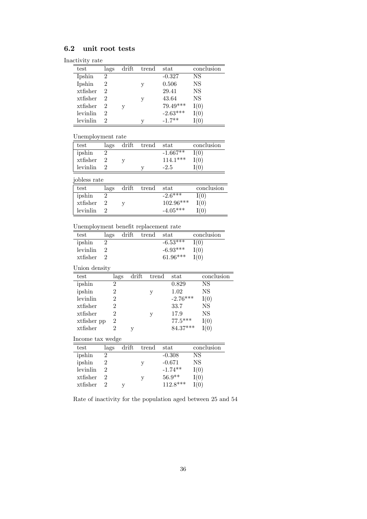## 6.2 unit root tests

|  | Inactivity rate |
|--|-----------------|

| test     | lags | drift | trend | stat       | conclusion |
|----------|------|-------|-------|------------|------------|
| Ipshin   | 2    |       |       | $-0.327$   | NS         |
| Ipshin   | 2    |       | V     | 0.506      | NS         |
| xtfisher | 2    |       |       | 29.41      | NS         |
| xtfisher | 2    |       | y     | 43.64      | NS         |
| xtfisher | 2    |       |       | $79.49***$ |            |
| levinlin | 2    |       |       | $-2.63***$ |            |
| levinlin |      |       | v     | $-1.7**$   |            |

| test         | lags | drift trend stat |            | conclusion |
|--------------|------|------------------|------------|------------|
| ipshin       |      |                  | $-1.667**$ | I(0)       |
| xtfisher     |      |                  | $114.1***$ | I(0)       |
| levinlin     |      |                  | $-2.5$     | I(0)       |
| iobless rate |      |                  |            |            |

| jobiess rate |      |                  |       |             |            |
|--------------|------|------------------|-------|-------------|------------|
| test         | lags | $\mathrm{drift}$ | trend | stat        | conclusion |
| ipshin       |      |                  |       | $-2.6***$   | I(0)       |
| xtfisher     |      |                  |       | $102.96***$ | I(0)       |
| levinlin     |      |                  |       | $-4.05***$  | (0)        |

Unemployment benefit replacement rate

| test             | lags           | drift         | trend | stat          | conclusion |
|------------------|----------------|---------------|-------|---------------|------------|
| ipshin           | 2              |               |       | $-6.53***$    | I(0)       |
| levinlin         | 2              |               |       | $-6.93***$    | I(0)       |
| xtfisher         | $\overline{2}$ |               |       | 61.96***      | I(0)       |
| Union density    |                |               |       |               |            |
| test             |                | drift<br>lags | trend | $_{\rm stat}$ | conclusion |
| ipshin           | 2              |               |       | 0.829         | NS         |
| ipshin           | 2              |               | У     | 1.02          | NS         |
| levinlin         | $\overline{2}$ |               |       | $-2.76***$    | I(0)       |
| xtfisher         | $\overline{2}$ |               |       | 33.7          | NS         |
| xtfisher         | $\overline{2}$ |               | у     | 17.9          | NS         |
| xtfisher pp      | 2              |               |       | $77.5***$     | I(0)       |
| xtfisher         | $\overline{2}$ | у             |       | 84.37***      | I(0)       |
| Income tax wedge |                |               |       |               |            |
| test             | lags           | drift         | trend | stat          | conclusion |
| ipshin           | 2              |               |       | $-0.308$      | NS         |
| ipshin           | 2              |               | у     | $-0.671$      | ΝS         |
| levinlin         | $\overline{2}$ |               |       | $-1.74**$     | I(0)       |
| xtfisher         | $\overline{2}$ |               | у     | $56.9**$      | I(0)       |
| $x$ tfisher      | 2              | у             |       | $112.8***$    | I(0)       |

Rate of inactivity for the population aged between 25 and 54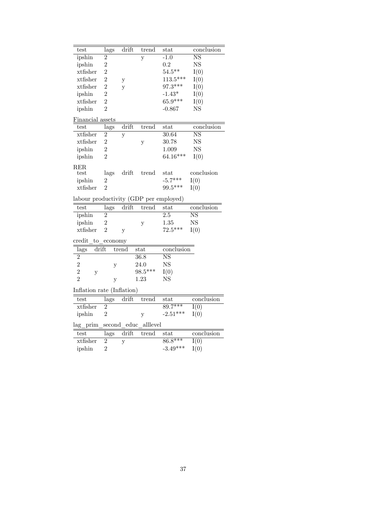| test                                   | lags           | drift            | trend    | stat                     | conclusion               |
|----------------------------------------|----------------|------------------|----------|--------------------------|--------------------------|
| ipshin                                 | $\overline{2}$ |                  | y        | $-1.0$                   | $\overline{\mathrm{NS}}$ |
| ipshin                                 | $\overline{2}$ |                  |          | 0.2                      | <b>NS</b>                |
| xtfisher                               | $\overline{2}$ |                  |          | $54.5***$                | I(0)                     |
| xtfisher                               | $\overline{2}$ | у                |          | $113.5***$               | I(0)                     |
| xtfisher                               | $\overline{2}$ | y                |          | 97.3***                  | I(0)                     |
| ipshin                                 | $\overline{2}$ |                  |          | $-1.43*$                 | I(0)                     |
| xtfisher                               | $\overline{2}$ |                  |          | 65.9***                  | I(0)                     |
| ipshin                                 | $\overline{2}$ |                  |          | -0.867                   | <b>NS</b>                |
| Financial assets                       |                |                  |          |                          |                          |
| test                                   | lags           | drift            | trend    | stat                     | conclusion               |
| xtfisher                               | $\overline{2}$ | у                |          | 30.64                    | $\overline{\mathrm{NS}}$ |
| xtfisher                               | $\overline{2}$ |                  | у        | 30.78                    | <b>NS</b>                |
| ipshin                                 | $\overline{2}$ |                  |          | 1.009                    | <b>NS</b>                |
| ipshin                                 | $\overline{2}$ |                  |          | $64.16***$               | I(0)                     |
| RER.                                   |                |                  |          |                          |                          |
| test                                   | lags           | $\mathrm{drift}$ | trend    | stat                     | conclusion               |
| ipshin                                 | 2              |                  |          | $-5.7***$                | I(0)                     |
| xtfisher                               | $\overline{2}$ |                  |          | 99.5***                  | I(0)                     |
| labour productivity (GDP per employed) |                |                  |          |                          |                          |
| test                                   | lags           | drift            | trend    | stat                     | conclusion               |
| ipshin                                 | $\overline{2}$ |                  |          | $\overline{2.5}$         | $\overline{\mathrm{NS}}$ |
| ipshin                                 | $\overline{2}$ |                  | y        | 1.35                     | <b>NS</b>                |
| xtfisher                               | $\overline{2}$ | y                |          | $72.5***$                | I(0)                     |
| credit<br>to                           | economy        |                  |          |                          |                          |
| drift<br>lags                          |                | trend            | stat     | conclusion               |                          |
| $\overline{2}$                         |                |                  | 36.8     | $\overline{\mathrm{NS}}$ |                          |
| $\overline{2}$                         | у              |                  | 24.0     | <b>NS</b>                |                          |
| $\overline{2}$<br>$\mathbf{y}$         |                |                  | 98.5***  | I(0)                     |                          |
| $\overline{2}$                         | y              |                  | 1.23     | NS                       |                          |
| Inflation rate (Inflation)             |                |                  |          |                          |                          |
| test                                   | lags           | drift            | trend    | stat                     | conclusion               |
| xtfisher                               | $\overline{2}$ |                  |          | $89.7***$                | $\overline{I(0)}$        |
| ipshin                                 | $\overline{2}$ |                  | y        | $-2.51***$               | I(0)                     |
| lag prim                               | second educ    |                  | alllevel |                          |                          |
| test                                   | lags           | drift            | trend    | $_{\rm stat}$            | conclusion               |
| xtfisher                               | $\overline{2}$ | y                |          | $86.8***$                | I(0)                     |
| ipshin                                 | $\overline{2}$ |                  |          | $-3.49***$               | I(0)                     |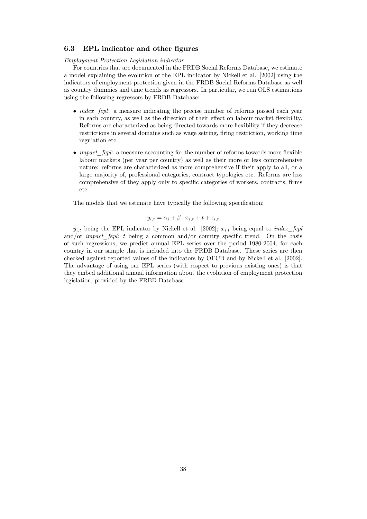### 6.3 EPL indicator and other figures

Employment Protection Legislation indicator

For countries that are documented in the FRDB Social Reforms Database, we estimate a model explaining the evolution of the EPL indicator by Nickell et al. [2002] using the indicators of employment protection given in the FRDB Social Reforms Database as well as country dummies and time trends as regressors. In particular, we run OLS estimations using the following regressors by FRDB Database:

- $\bullet$  *index fepl:* a measure indicating the precise number of reforms passed each year in each country, as well as the direction of their effect on labour market flexibility. Reforms are characterized as being directed towards more flexibility if they decrease restrictions in several domains such as wage setting, firing restriction, working time regulation etc.
- $\bullet$  *impact* fepl: a measure accounting for the number of reforms towards more flexible labour markets (per year per country) as well as their more or less comprehensive nature: reforms are characterized as more comprehensive if their apply to all, or a large majority of, professional categories, contract typologies etc. Reforms are less comprehensive of they apply only to specific categories of workers, contracts, firms etc.

The models that we estimate have typically the following specification:

$$
y_{i,t} = \alpha_i + \beta \cdot x_{i,t} + t + \epsilon_{i,t}
$$

 $y_{i,t}$  being the EPL indicator by Nickell et al. [2002];  $x_{i,t}$  being equal to *index fepl* and/or *impact* fepl; t being a common and/or country specific trend. On the basis of such regressions, we predict annual EPL series over the period 1980-2004, for each country in our sample that is included into the FRDB Database. These series are then checked against reported values of the indicators by OECD and by Nickell et al. [2002]. The advantage of using our EPL series (with respect to previous existing ones) is that they embed additional annual information about the evolution of employment protection legislation, provided by the FRBD Database.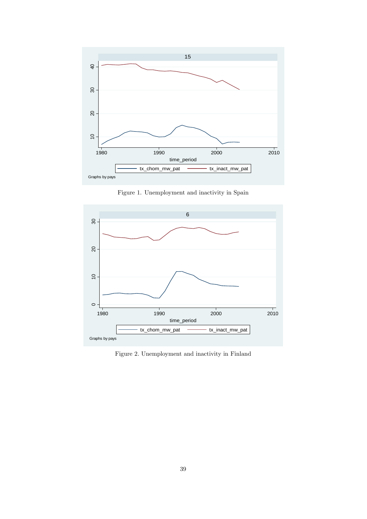

Figure 1. Unemployment and inactivity in Spain



Figure 2. Unemployment and inactivity in Finland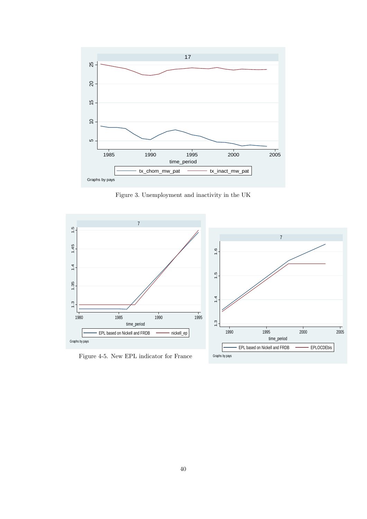

Figure 3. Unemployment and inactivity in the UK



Figure 4-5. New EPL indicator for France